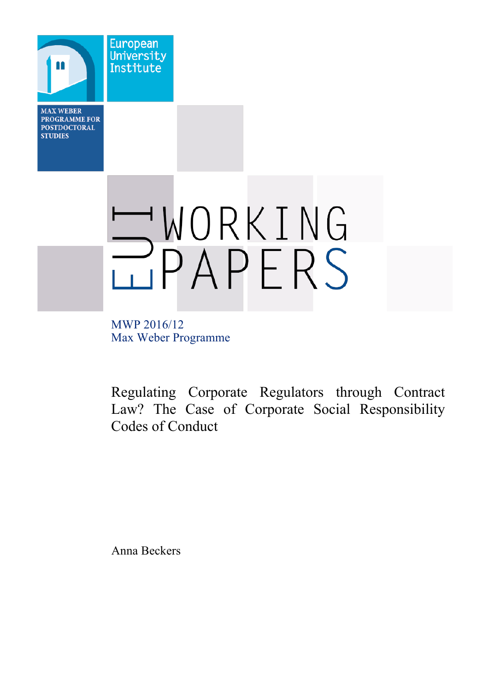**MAX WEBER PROGRAMME FOR POSTDOCTORAL STUDIES** 

n

**European** University

Institute



MWP 2016/12 Max Weber Programme

Regulating Corporate Regulators through Contract Law? The Case of Corporate Social Responsibility Codes of Conduct

Anna Beckers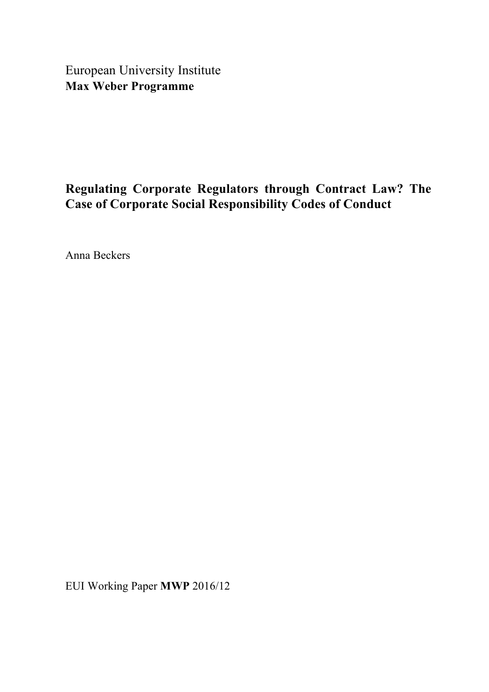European University Institute **Max Weber Programme**

# **Regulating Corporate Regulators through Contract Law? The Case of Corporate Social Responsibility Codes of Conduct**

Anna Beckers

EUI Working Paper **MWP** 2016/12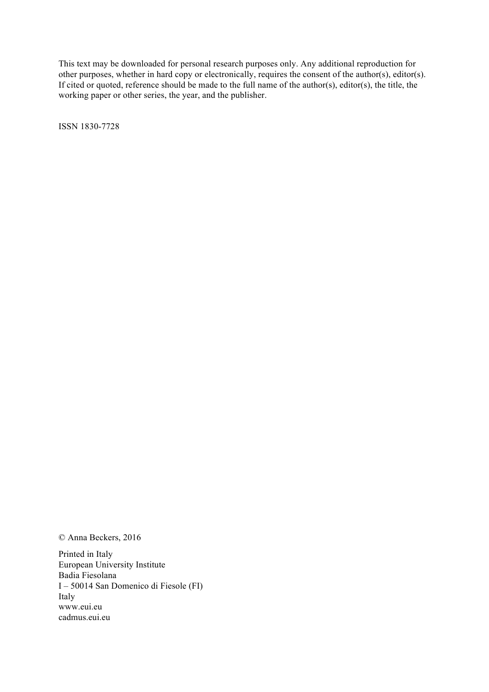This text may be downloaded for personal research purposes only. Any additional reproduction for other purposes, whether in hard copy or electronically, requires the consent of the author(s), editor(s). If cited or quoted, reference should be made to the full name of the author(s), editor(s), the title, the working paper or other series, the year, and the publisher.

ISSN 1830-7728

© Anna Beckers, 2016

Printed in Italy European University Institute Badia Fiesolana I – 50014 San Domenico di Fiesole (FI) Italy www.eui.eu cadmus.eui.eu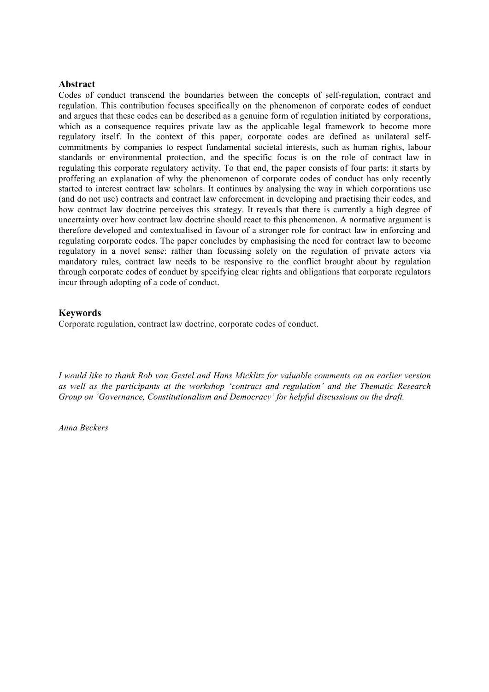## **Abstract**

Codes of conduct transcend the boundaries between the concepts of self-regulation, contract and regulation. This contribution focuses specifically on the phenomenon of corporate codes of conduct and argues that these codes can be described as a genuine form of regulation initiated by corporations, which as a consequence requires private law as the applicable legal framework to become more regulatory itself. In the context of this paper, corporate codes are defined as unilateral selfcommitments by companies to respect fundamental societal interests, such as human rights, labour standards or environmental protection, and the specific focus is on the role of contract law in regulating this corporate regulatory activity. To that end, the paper consists of four parts: it starts by proffering an explanation of why the phenomenon of corporate codes of conduct has only recently started to interest contract law scholars. It continues by analysing the way in which corporations use (and do not use) contracts and contract law enforcement in developing and practising their codes, and how contract law doctrine perceives this strategy. It reveals that there is currently a high degree of uncertainty over how contract law doctrine should react to this phenomenon. A normative argument is therefore developed and contextualised in favour of a stronger role for contract law in enforcing and regulating corporate codes. The paper concludes by emphasising the need for contract law to become regulatory in a novel sense: rather than focussing solely on the regulation of private actors via mandatory rules, contract law needs to be responsive to the conflict brought about by regulation through corporate codes of conduct by specifying clear rights and obligations that corporate regulators incur through adopting of a code of conduct.

# **Keywords**

Corporate regulation, contract law doctrine, corporate codes of conduct.

*I would like to thank Rob van Gestel and Hans Micklitz for valuable comments on an earlier version as well as the participants at the workshop 'contract and regulation' and the Thematic Research Group on 'Governance, Constitutionalism and Democracy' for helpful discussions on the draft.*

*Anna Beckers*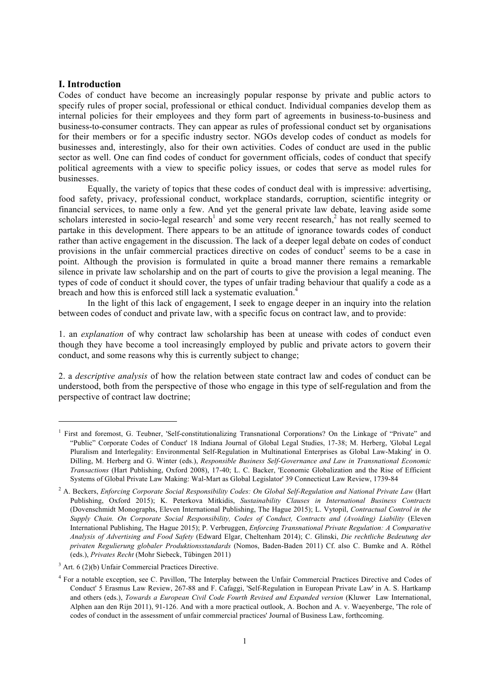#### **I. Introduction**

1

Codes of conduct have become an increasingly popular response by private and public actors to specify rules of proper social, professional or ethical conduct. Individual companies develop them as internal policies for their employees and they form part of agreements in business-to-business and business-to-consumer contracts. They can appear as rules of professional conduct set by organisations for their members or for a specific industry sector. NGOs develop codes of conduct as models for businesses and, interestingly, also for their own activities. Codes of conduct are used in the public sector as well. One can find codes of conduct for government officials, codes of conduct that specify political agreements with a view to specific policy issues, or codes that serve as model rules for businesses.

Equally, the variety of topics that these codes of conduct deal with is impressive: advertising, food safety, privacy, professional conduct, workplace standards, corruption, scientific integrity or financial services, to name only a few. And yet the general private law debate, leaving aside some scholars interested in socio-legal research<sup>1</sup> and some very recent research,<sup>2</sup> has not really seemed to partake in this development. There appears to be an attitude of ignorance towards codes of conduct rather than active engagement in the discussion. The lack of a deeper legal debate on codes of conduct provisions in the unfair commercial practices directive on codes of conduct<sup>3</sup> seems to be a case in point. Although the provision is formulated in quite a broad manner there remains a remarkable silence in private law scholarship and on the part of courts to give the provision a legal meaning. The types of code of conduct it should cover, the types of unfair trading behaviour that qualify a code as a breach and how this is enforced still lack a systematic evaluation.<sup>4</sup>

In the light of this lack of engagement, I seek to engage deeper in an inquiry into the relation between codes of conduct and private law, with a specific focus on contract law, and to provide:

1. an *explanation* of why contract law scholarship has been at unease with codes of conduct even though they have become a tool increasingly employed by public and private actors to govern their conduct, and some reasons why this is currently subject to change;

2. a *descriptive analysis* of how the relation between state contract law and codes of conduct can be understood, both from the perspective of those who engage in this type of self-regulation and from the perspective of contract law doctrine;

<sup>&</sup>lt;sup>1</sup> First and foremost, G. Teubner, 'Self-constitutionalizing Transnational Corporations? On the Linkage of "Private" and "Public" Corporate Codes of Conduct' 18 Indiana Journal of Global Legal Studies, 17-38; M. Herberg, 'Global Legal Pluralism and Interlegality: Environmental Self-Regulation in Multinational Enterprises as Global Law-Making' in O. Dilling, M. Herberg and G. Winter (eds.), *Responsible Business Self-Governance and Law in Transnational Economic Transactions* (Hart Publishing, Oxford 2008), 17-40; L. C. Backer, 'Economic Globalization and the Rise of Efficient Systems of Global Private Law Making: Wal-Mart as Global Legislator' 39 Connecticut Law Review, 1739-84

<sup>2</sup> A. Beckers, *Enforcing Corporate Social Responsibility Codes: On Global Self-Regulation and National Private Law* (Hart Publishing, Oxford 2015); K. Peterkova Mitkidis, *Sustainability Clauses in International Business Contracts* (Dovenschmidt Monographs, Eleven International Publishing, The Hague 2015); L. Vytopil, *Contractual Control in the Supply Chain. On Corporate Social Responsibility, Codes of Conduct, Contracts and (Avoiding) Liability* (Eleven International Publishing, The Hague 2015); P. Verbruggen, *Enforcing Transnational Private Regulation: A Comparative Analysis of Advertising and Food Safety* (Edward Elgar, Cheltenham 2014); C. Glinski, *Die rechtliche Bedeutung der privaten Regulierung globaler Produktionsstandards* (Nomos, Baden-Baden 2011) Cf. also C. Bumke and A. Röthel (eds.), *Privates Recht* (Mohr Siebeck, Tübingen 2011)

<sup>3</sup> Art. 6 (2)(b) Unfair Commercial Practices Directive.

<sup>4</sup> For a notable exception, see C. Pavillon, 'The Interplay between the Unfair Commercial Practices Directive and Codes of Conduct' 5 Erasmus Law Review, 267-88 and F. Cafaggi, 'Self-Regulation in European Private Law' in A. S. Hartkamp and others (eds.), *Towards a European Civil Code Fourth Revised and Expanded version* (Kluwer Law International, Alphen aan den Rijn 2011), 91-126. And with a more practical outlook, A. Bochon and A. v. Waeyenberge, 'The role of codes of conduct in the assessment of unfair commercial practices' Journal of Business Law, forthcoming.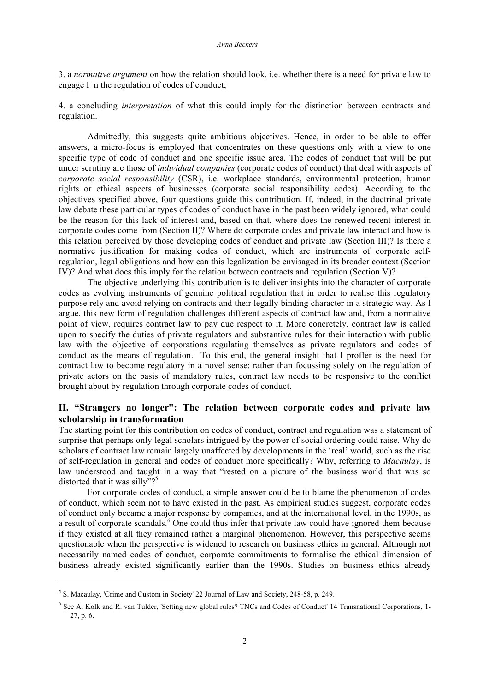3. a *normative argument* on how the relation should look, i.e. whether there is a need for private law to engage I n the regulation of codes of conduct;

4. a concluding *interpretation* of what this could imply for the distinction between contracts and regulation.

Admittedly, this suggests quite ambitious objectives. Hence, in order to be able to offer answers, a micro-focus is employed that concentrates on these questions only with a view to one specific type of code of conduct and one specific issue area. The codes of conduct that will be put under scrutiny are those of *individual companies* (corporate codes of conduct) that deal with aspects of *corporate social responsibility* (CSR), i.e. workplace standards, environmental protection, human rights or ethical aspects of businesses (corporate social responsibility codes). According to the objectives specified above, four questions guide this contribution. If, indeed, in the doctrinal private law debate these particular types of codes of conduct have in the past been widely ignored, what could be the reason for this lack of interest and, based on that, where does the renewed recent interest in corporate codes come from (Section II)? Where do corporate codes and private law interact and how is this relation perceived by those developing codes of conduct and private law (Section III)? Is there a normative justification for making codes of conduct, which are instruments of corporate selfregulation, legal obligations and how can this legalization be envisaged in its broader context (Section IV)? And what does this imply for the relation between contracts and regulation (Section V)?

The objective underlying this contribution is to deliver insights into the character of corporate codes as evolving instruments of genuine political regulation that in order to realise this regulatory purpose rely and avoid relying on contracts and their legally binding character in a strategic way. As I argue, this new form of regulation challenges different aspects of contract law and, from a normative point of view, requires contract law to pay due respect to it. More concretely, contract law is called upon to specify the duties of private regulators and substantive rules for their interaction with public law with the objective of corporations regulating themselves as private regulators and codes of conduct as the means of regulation. To this end, the general insight that I proffer is the need for contract law to become regulatory in a novel sense: rather than focussing solely on the regulation of private actors on the basis of mandatory rules, contract law needs to be responsive to the conflict brought about by regulation through corporate codes of conduct.

# **II. "Strangers no longer": The relation between corporate codes and private law scholarship in transformation**

The starting point for this contribution on codes of conduct, contract and regulation was a statement of surprise that perhaps only legal scholars intrigued by the power of social ordering could raise. Why do scholars of contract law remain largely unaffected by developments in the 'real' world, such as the rise of self-regulation in general and codes of conduct more specifically? Why, referring to *Macaulay*, is law understood and taught in a way that "rested on a picture of the business world that was so distorted that it was silly"?<sup>5</sup>

For corporate codes of conduct, a simple answer could be to blame the phenomenon of codes of conduct, which seem not to have existed in the past. As empirical studies suggest, corporate codes of conduct only became a major response by companies, and at the international level, in the 1990s, as a result of corporate scandals.<sup>6</sup> One could thus infer that private law could have ignored them because if they existed at all they remained rather a marginal phenomenon. However, this perspective seems questionable when the perspective is widened to research on business ethics in general. Although not necessarily named codes of conduct, corporate commitments to formalise the ethical dimension of business already existed significantly earlier than the 1990s. Studies on business ethics already

<sup>5</sup> S. Macaulay, 'Crime and Custom in Society' 22 Journal of Law and Society, 248-58, p. 249.

<sup>6</sup> See A. Kolk and R. van Tulder, 'Setting new global rules? TNCs and Codes of Conduct' 14 Transnational Corporations, 1- 27, p. 6.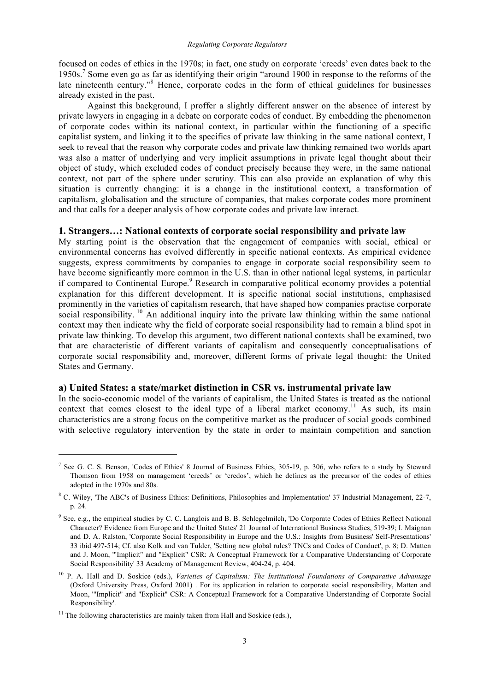focused on codes of ethics in the 1970s; in fact, one study on corporate 'creeds' even dates back to the 1950s.<sup>7</sup> Some even go as far as identifying their origin "around 1900 in response to the reforms of the late nineteenth century.<sup>38</sup> Hence, corporate codes in the form of ethical guidelines for businesses already existed in the past.

Against this background, I proffer a slightly different answer on the absence of interest by private lawyers in engaging in a debate on corporate codes of conduct. By embedding the phenomenon of corporate codes within its national context, in particular within the functioning of a specific capitalist system, and linking it to the specifics of private law thinking in the same national context, I seek to reveal that the reason why corporate codes and private law thinking remained two worlds apart was also a matter of underlying and very implicit assumptions in private legal thought about their object of study, which excluded codes of conduct precisely because they were, in the same national context, not part of the sphere under scrutiny. This can also provide an explanation of why this situation is currently changing: it is a change in the institutional context, a transformation of capitalism, globalisation and the structure of companies, that makes corporate codes more prominent and that calls for a deeper analysis of how corporate codes and private law interact.

# **1. Strangers…: National contexts of corporate social responsibility and private law**

My starting point is the observation that the engagement of companies with social, ethical or environmental concerns has evolved differently in specific national contexts. As empirical evidence suggests, express commitments by companies to engage in corporate social responsibility seem to have become significantly more common in the U.S. than in other national legal systems, in particular if compared to Continental Europe.<sup>9</sup> Research in comparative political economy provides a potential explanation for this different development. It is specific national social institutions, emphasised prominently in the varieties of capitalism research, that have shaped how companies practise corporate social responsibility.  $^{10}$  An additional inquiry into the private law thinking within the same national context may then indicate why the field of corporate social responsibility had to remain a blind spot in private law thinking. To develop this argument, two different national contexts shall be examined, two that are characteristic of different variants of capitalism and consequently conceptualisations of corporate social responsibility and, moreover, different forms of private legal thought: the United States and Germany.

# **a) United States: a state/market distinction in CSR vs. instrumental private law**

In the socio-economic model of the variants of capitalism, the United States is treated as the national context that comes closest to the ideal type of a liberal market economy.<sup>11</sup> As such, its main characteristics are a strong focus on the competitive market as the producer of social goods combined with selective regulatory intervention by the state in order to maintain competition and sanction

<sup>&</sup>lt;sup>7</sup> See G. C. S. Benson, 'Codes of Ethics' 8 Journal of Business Ethics, 305-19, p. 306, who refers to a study by Steward Thomson from 1958 on management 'creeds' or 'credos', which he defines as the precursor of the codes of ethics adopted in the 1970s and 80s.

<sup>8</sup> C. Wiley, 'The ABC's of Business Ethics: Definitions, Philosophies and Implementation' 37 Industrial Management, 22-7, p. 24.

<sup>&</sup>lt;sup>9</sup> See, e.g., the empirical studies by C. C. Langlois and B. B. Schlegelmilch, 'Do Corporate Codes of Ethics Reflect National Character? Evidence from Europe and the United States' 21 Journal of International Business Studies, 519-39; I. Maignan and D. A. Ralston, 'Corporate Social Responsibility in Europe and the U.S.: Insights from Business' Self-Presentations' 33 ibid 497-514; Cf. also Kolk and van Tulder, 'Setting new global rules? TNCs and Codes of Conduct', p. 8; D. Matten and J. Moon, '"Implicit" and "Explicit" CSR: A Conceptual Framework for a Comparative Understanding of Corporate Social Responsibility' 33 Academy of Management Review, 404-24, p. 404.

<sup>&</sup>lt;sup>10</sup> P. A. Hall and D. Soskice (eds.), *Varieties of Capitalism: The Institutional Foundations of Comparative Advantage* (Oxford University Press, Oxford 2001) . For its application in relation to corporate social responsibility, Matten and Moon, '"Implicit" and "Explicit" CSR: A Conceptual Framework for a Comparative Understanding of Corporate Social Responsibility'.

 $11$  The following characteristics are mainly taken from Hall and Soskice (eds.),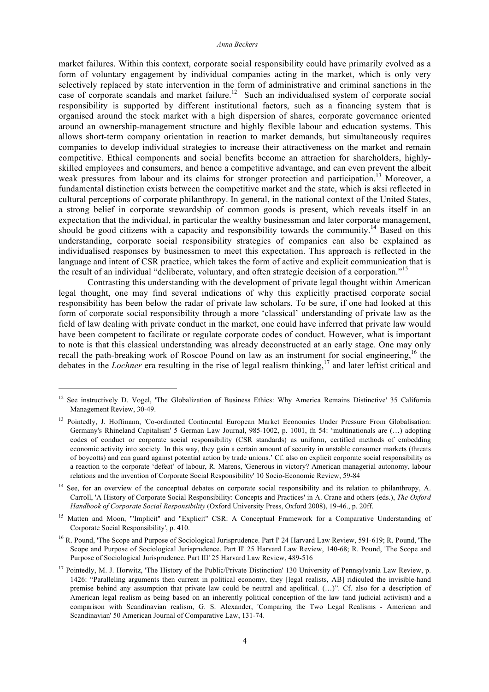market failures. Within this context, corporate social responsibility could have primarily evolved as a form of voluntary engagement by individual companies acting in the market, which is only very selectively replaced by state intervention in the form of administrative and criminal sanctions in the case of corporate scandals and market failure.<sup>12</sup> Such an individualised system of corporate social responsibility is supported by different institutional factors, such as a financing system that is organised around the stock market with a high dispersion of shares, corporate governance oriented around an ownership-management structure and highly flexible labour and education systems. This allows short-term company orientation in reaction to market demands, but simultaneously requires companies to develop individual strategies to increase their attractiveness on the market and remain competitive. Ethical components and social benefits become an attraction for shareholders, highlyskilled employees and consumers, and hence a competitive advantage, and can even prevent the albeit weak pressures from labour and its claims for stronger protection and participation.<sup>13</sup> Moreover, a fundamental distinction exists between the competitive market and the state, which is aksi reflected in cultural perceptions of corporate philanthropy. In general, in the national context of the United States, a strong belief in corporate stewardship of common goods is present, which reveals itself in an expectation that the individual, in particular the wealthy businessman and later corporate management, should be good citizens with a capacity and responsibility towards the community.<sup>14</sup> Based on this understanding, corporate social responsibility strategies of companies can also be explained as individualised responses by businessmen to meet this expectation. This approach is reflected in the language and intent of CSR practice, which takes the form of active and explicit communication that is the result of an individual "deliberate, voluntary, and often strategic decision of a corporation."<sup>15</sup>

Contrasting this understanding with the development of private legal thought within American legal thought, one may find several indications of why this explicitly practised corporate social responsibility has been below the radar of private law scholars. To be sure, if one had looked at this form of corporate social responsibility through a more 'classical' understanding of private law as the field of law dealing with private conduct in the market, one could have inferred that private law would have been competent to facilitate or regulate corporate codes of conduct. However, what is important to note is that this classical understanding was already deconstructed at an early stage. One may only recall the path-breaking work of Roscoe Pound on law as an instrument for social engineering,<sup>16</sup> the debates in the *Lochner* era resulting in the rise of legal realism thinking,<sup>17</sup> and later leftist critical and

1

<sup>14</sup> See, for an overview of the conceptual debates on corporate social responsibility and its relation to philanthropy, A. Carroll, 'A History of Corporate Social Responsibility: Concepts and Practices' in A. Crane and others (eds.), *The Oxford Handbook of Corporate Social Responsibility* (Oxford University Press, Oxford 2008), 19-46., p. 20ff.

<sup>15</sup> Matten and Moon, "'Implicit" and "Explicit" CSR: A Conceptual Framework for a Comparative Understanding of Corporate Social Responsibility', p. 410.

<sup>16</sup> R. Pound, 'The Scope and Purpose of Sociological Jurisprudence. Part I' 24 Harvard Law Review, 591-619; R. Pound, 'The Scope and Purpose of Sociological Jurisprudence. Part II' 25 Harvard Law Review, 140-68; R. Pound, 'The Scope and Purpose of Sociological Jurisprudence. Part III' 25 Harvard Law Review, 489-516

<sup>&</sup>lt;sup>12</sup> See instructively D. Vogel, 'The Globalization of Business Ethics: Why America Remains Distinctive' 35 California Management Review, 30-49.

<sup>&</sup>lt;sup>13</sup> Pointedly, J. Hoffmann, 'Co-ordinated Continental European Market Economies Under Pressure From Globalisation: Germany's Rhineland Capitalism' 5 German Law Journal, 985-1002, p. 1001, fn 54: 'multinationals are (…) adopting codes of conduct or corporate social responsibility (CSR standards) as uniform, certified methods of embedding economic activity into society. In this way, they gain a certain amount of security in unstable consumer markets (threats of boycotts) and can guard against potential action by trade unions.' Cf. also on explicit corporate social responsibility as a reaction to the corporate 'defeat' of labour, R. Marens, 'Generous in victory? American managerial autonomy, labour relations and the invention of Corporate Social Responsibility' 10 Socio-Economic Review, 59-84

<sup>&</sup>lt;sup>17</sup> Pointedly, M. J. Horwitz, 'The History of the Public/Private Distinction' 130 University of Pennsylvania Law Review, p. 1426: "Paralleling arguments then current in political economy, they [legal realists, AB] ridiculed the invisible-hand premise behind any assumption that private law could be neutral and apolitical. (…)". Cf. also for a description of American legal realism as being based on an inherently political conception of the law (and judicial activism) and a comparison with Scandinavian realism, G. S. Alexander, 'Comparing the Two Legal Realisms - American and Scandinavian' 50 American Journal of Comparative Law, 131-74.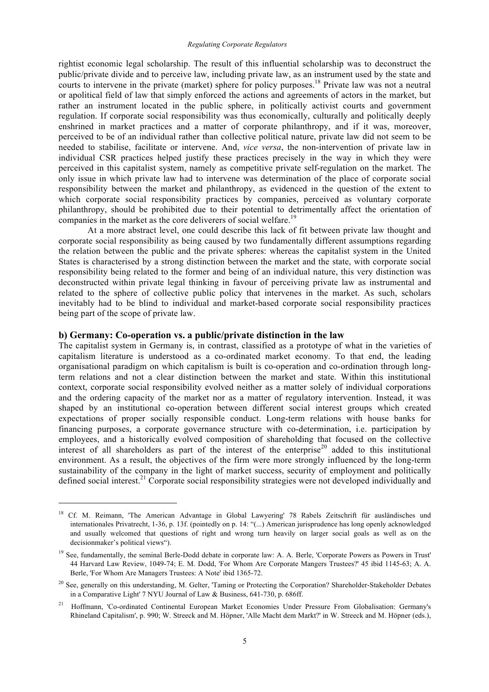rightist economic legal scholarship. The result of this influential scholarship was to deconstruct the public/private divide and to perceive law, including private law, as an instrument used by the state and courts to intervene in the private (market) sphere for policy purposes.<sup>18</sup> Private law was not a neutral or apolitical field of law that simply enforced the actions and agreements of actors in the market, but rather an instrument located in the public sphere, in politically activist courts and government regulation. If corporate social responsibility was thus economically, culturally and politically deeply enshrined in market practices and a matter of corporate philanthropy, and if it was, moreover, perceived to be of an individual rather than collective political nature, private law did not seem to be needed to stabilise, facilitate or intervene. And, *vice versa*, the non-intervention of private law in individual CSR practices helped justify these practices precisely in the way in which they were perceived in this capitalist system, namely as competitive private self-regulation on the market. The only issue in which private law had to intervene was determination of the place of corporate social responsibility between the market and philanthropy, as evidenced in the question of the extent to which corporate social responsibility practices by companies, perceived as voluntary corporate philanthropy, should be prohibited due to their potential to detrimentally affect the orientation of companies in the market as the core deliverers of social welfare.<sup>19</sup>

At a more abstract level, one could describe this lack of fit between private law thought and corporate social responsibility as being caused by two fundamentally different assumptions regarding the relation between the public and the private spheres: whereas the capitalist system in the United States is characterised by a strong distinction between the market and the state, with corporate social responsibility being related to the former and being of an individual nature, this very distinction was deconstructed within private legal thinking in favour of perceiving private law as instrumental and related to the sphere of collective public policy that intervenes in the market. As such, scholars inevitably had to be blind to individual and market-based corporate social responsibility practices being part of the scope of private law.

#### **b) Germany: Co-operation vs. a public/private distinction in the law**

1

The capitalist system in Germany is, in contrast, classified as a prototype of what in the varieties of capitalism literature is understood as a co-ordinated market economy. To that end, the leading organisational paradigm on which capitalism is built is co-operation and co-ordination through longterm relations and not a clear distinction between the market and state. Within this institutional context, corporate social responsibility evolved neither as a matter solely of individual corporations and the ordering capacity of the market nor as a matter of regulatory intervention. Instead, it was shaped by an institutional co-operation between different social interest groups which created expectations of proper socially responsible conduct. Long-term relations with house banks for financing purposes, a corporate governance structure with co-determination, i.e. participation by employees, and a historically evolved composition of shareholding that focused on the collective interest of all shareholders as part of the interest of the enterprise<sup>20</sup> added to this institutional environment. As a result, the objectives of the firm were more strongly influenced by the long-term sustainability of the company in the light of market success, security of employment and politically defined social interest.<sup>21</sup> Corporate social responsibility strategies were not developed individually and

<sup>&</sup>lt;sup>18</sup> Cf. M. Reimann, 'The American Advantage in Global Lawyering' 78 Rabels Zeitschrift für ausländisches und internationales Privatrecht, 1-36, p. 13f. (pointedly on p. 14: "(...) American jurisprudence has long openly acknowledged and usually welcomed that questions of right and wrong turn heavily on larger social goals as well as on the decisionmaker's political views").

<sup>&</sup>lt;sup>19</sup> See, fundamentally, the seminal Berle-Dodd debate in corporate law: A. A. Berle, 'Corporate Powers as Powers in Trust' 44 Harvard Law Review, 1049-74; E. M. Dodd, 'For Whom Are Corporate Mangers Trustees?' 45 ibid 1145-63; A. A. Berle, 'For Whom Are Managers Trustees: A Note' ibid 1365-72.

<sup>&</sup>lt;sup>20</sup> See, generally on this understanding, M. Gelter, 'Taming or Protecting the Corporation? Shareholder-Stakeholder Debates in a Comparative Light' 7 NYU Journal of Law & Business, 641-730, p. 686ff.

<sup>&</sup>lt;sup>21</sup> Hoffmann, 'Co-ordinated Continental European Market Economies Under Pressure From Globalisation: Germany's Rhineland Capitalism', p. 990; W. Streeck and M. Höpner, 'Alle Macht dem Markt?' in W. Streeck and M. Höpner (eds.),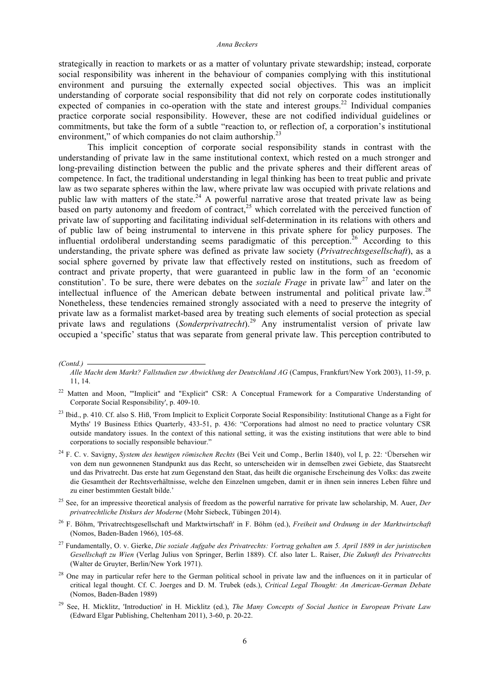#### *Anna Beckers*

strategically in reaction to markets or as a matter of voluntary private stewardship; instead, corporate social responsibility was inherent in the behaviour of companies complying with this institutional environment and pursuing the externally expected social objectives. This was an implicit understanding of corporate social responsibility that did not rely on corporate codes institutionally expected of companies in co-operation with the state and interest groups.<sup>22</sup> Individual companies practice corporate social responsibility. However, these are not codified individual guidelines or commitments, but take the form of a subtle "reaction to, or reflection of, a corporation's institutional environment," of which companies do not claim authorship. $^{23}$ 

This implicit conception of corporate social responsibility stands in contrast with the understanding of private law in the same institutional context, which rested on a much stronger and long-prevailing distinction between the public and the private spheres and their different areas of competence. In fact, the traditional understanding in legal thinking has been to treat public and private law as two separate spheres within the law, where private law was occupied with private relations and public law with matters of the state.<sup>24</sup> A powerful narrative arose that treated private law as being based on party autonomy and freedom of contract,<sup>25</sup> which correlated with the perceived function of private law of supporting and facilitating individual self-determination in its relations with others and of public law of being instrumental to intervene in this private sphere for policy purposes. The influential ordoliberal understanding seems paradigmatic of this perception.<sup>26</sup> According to this understanding, the private sphere was defined as private law society (*Privatrechtsgesellschaft*), as a social sphere governed by private law that effectively rested on institutions, such as freedom of contract and private property, that were guaranteed in public law in the form of an 'economic constitution'. To be sure, there were debates on the *soziale Frage* in private law<sup>27</sup> and later on the intellectual influence of the American debate between instrumental and political private law.<sup>28</sup> Nonetheless, these tendencies remained strongly associated with a need to preserve the integrity of private law as a formalist market-based area by treating such elements of social protection as special private laws and regulations (*Sonderprivatrecht*).<sup>29</sup> Any instrumentalist version of private law occupied a 'specific' status that was separate from general private law. This perception contributed to

- <sup>25</sup> See, for an impressive theoretical analysis of freedom as the powerful narrative for private law scholarship, M. Auer, *Der privatrechtliche Diskurs der Moderne* (Mohr Siebeck, Tübingen 2014).
- <sup>26</sup> F. Böhm, 'Privatrechtsgesellschaft und Marktwirtschaft' in F. Böhm (ed.), *Freiheit und Ordnung in der Marktwirtschaft* (Nomos, Baden-Baden 1966), 105-68.
- <sup>27</sup> Fundamentally, O. v. Gierke, *Die soziale Aufgabe des Privatrechts: Vortrag gehalten am 5. April 1889 in der juristischen Gesellschaft zu Wien* (Verlag Julius von Springer, Berlin 1889). Cf. also later L. Raiser, *Die Zukunft des Privatrechts* (Walter de Gruyter, Berlin/New York 1971).
- <sup>28</sup> One may in particular refer here to the German political school in private law and the influences on it in particular of critical legal thought. Cf. C. Joerges and D. M. Trubek (eds.), *Critical Legal Thought: An American-German Debate* (Nomos, Baden-Baden 1989)
- <sup>29</sup> See, H. Micklitz, 'Introduction' in H. Micklitz (ed.), *The Many Concepts of Social Justice in European Private Law* (Edward Elgar Publishing, Cheltenham 2011), 3-60, p. 20-22.

*<sup>(</sup>Contd.)* 

*Alle Macht dem Markt? Fallstudien zur Abwicklung der Deutschland AG* (Campus, Frankfurt/New York 2003), 11-59, p. 11, 14.

<sup>&</sup>lt;sup>22</sup> Matten and Moon, "'Implicit" and "Explicit" CSR: A Conceptual Framework for a Comparative Understanding of Corporate Social Responsibility', p. 409-10.

<sup>&</sup>lt;sup>23</sup> Ibid., p. 410. Cf. also S. Hiß, 'From Implicit to Explicit Corporate Social Responsibility: Institutional Change as a Fight for Myths' 19 Business Ethics Quarterly, 433-51, p. 436: "Corporations had almost no need to practice voluntary CSR outside mandatory issues. In the context of this national setting, it was the existing institutions that were able to bind corporations to socially responsible behaviour."

<sup>24</sup> F. C. v. Savigny, *System des heutigen römischen Rechts* (Bei Veit und Comp., Berlin 1840), vol I, p. 22: 'Übersehen wir von dem nun gewonnenen Standpunkt aus das Recht, so unterscheiden wir in demselben zwei Gebiete, das Staatsrecht und das Privatrecht. Das erste hat zum Gegenstand den Staat, das heißt die organische Erscheinung des Volks: das zweite die Gesamtheit der Rechtsverhältnisse, welche den Einzelnen umgeben, damit er in ihnen sein inneres Leben führe und zu einer bestimmten Gestalt bilde.'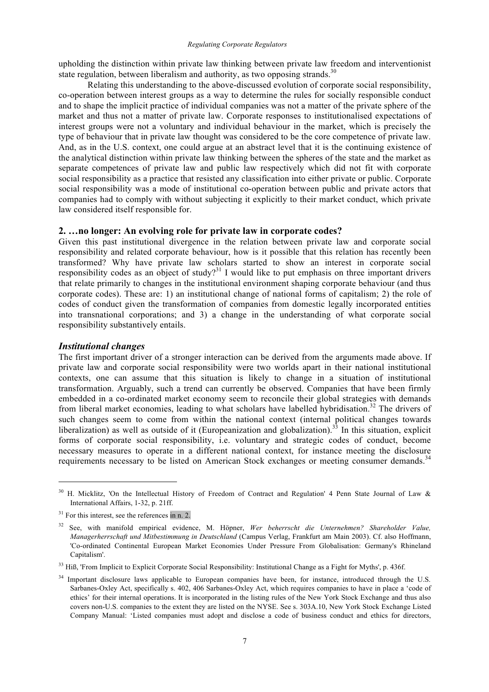upholding the distinction within private law thinking between private law freedom and interventionist state regulation, between liberalism and authority, as two opposing strands.<sup>30</sup>

Relating this understanding to the above-discussed evolution of corporate social responsibility, co-operation between interest groups as a way to determine the rules for socially responsible conduct and to shape the implicit practice of individual companies was not a matter of the private sphere of the market and thus not a matter of private law. Corporate responses to institutionalised expectations of interest groups were not a voluntary and individual behaviour in the market, which is precisely the type of behaviour that in private law thought was considered to be the core competence of private law. And, as in the U.S. context, one could argue at an abstract level that it is the continuing existence of the analytical distinction within private law thinking between the spheres of the state and the market as separate competences of private law and public law respectively which did not fit with corporate social responsibility as a practice that resisted any classification into either private or public. Corporate social responsibility was a mode of institutional co-operation between public and private actors that companies had to comply with without subjecting it explicitly to their market conduct, which private law considered itself responsible for.

#### **2. …no longer: An evolving role for private law in corporate codes?**

Given this past institutional divergence in the relation between private law and corporate social responsibility and related corporate behaviour, how is it possible that this relation has recently been transformed? Why have private law scholars started to show an interest in corporate social responsibility codes as an object of study?<sup>31</sup> I would like to put emphasis on three important drivers that relate primarily to changes in the institutional environment shaping corporate behaviour (and thus corporate codes). These are: 1) an institutional change of national forms of capitalism; 2) the role of codes of conduct given the transformation of companies from domestic legally incorporated entities into transnational corporations; and 3) a change in the understanding of what corporate social responsibility substantively entails.

## *Institutional changes*

1

The first important driver of a stronger interaction can be derived from the arguments made above. If private law and corporate social responsibility were two worlds apart in their national institutional contexts, one can assume that this situation is likely to change in a situation of institutional transformation. Arguably, such a trend can currently be observed. Companies that have been firmly embedded in a co-ordinated market economy seem to reconcile their global strategies with demands from liberal market economies, leading to what scholars have labelled hybridisation.<sup>32</sup> The drivers of such changes seem to come from within the national context (internal political changes towards liberalization) as well as outside of it (Europeanization and globalization).<sup>33</sup> In this situation, explicit forms of corporate social responsibility, i.e. voluntary and strategic codes of conduct, become necessary measures to operate in a different national context, for instance meeting the disclosure requirements necessary to be listed on American Stock exchanges or meeting consumer demands.<sup>34</sup>

<sup>&</sup>lt;sup>30</sup> H. Micklitz, 'On the Intellectual History of Freedom of Contract and Regulation' 4 Penn State Journal of Law & International Affairs, 1-32, p. 21ff.

 $31$  For this interest, see the references in n. 2.

<sup>32</sup> See, with manifold empirical evidence, M. Höpner, *Wer beherrscht die Unternehmen? Shareholder Value, Managerherrschaft und Mitbestimmung in Deutschland* (Campus Verlag, Frankfurt am Main 2003). Cf. also Hoffmann, 'Co-ordinated Continental European Market Economies Under Pressure From Globalisation: Germany's Rhineland Capitalism'.

<sup>&</sup>lt;sup>33</sup> Hiß, 'From Implicit to Explicit Corporate Social Responsibility: Institutional Change as a Fight for Myths', p. 436f.

<sup>&</sup>lt;sup>34</sup> Important disclosure laws applicable to European companies have been, for instance, introduced through the U.S. Sarbanes-Oxley Act, specifically s. 402, 406 Sarbanes-Oxley Act, which requires companies to have in place a 'code of ethics' for their internal operations. It is incorporated in the listing rules of the New York Stock Exchange and thus also covers non-U.S. companies to the extent they are listed on the NYSE. See s. 303A.10, New York Stock Exchange Listed Company Manual: 'Listed companies must adopt and disclose a code of business conduct and ethics for directors,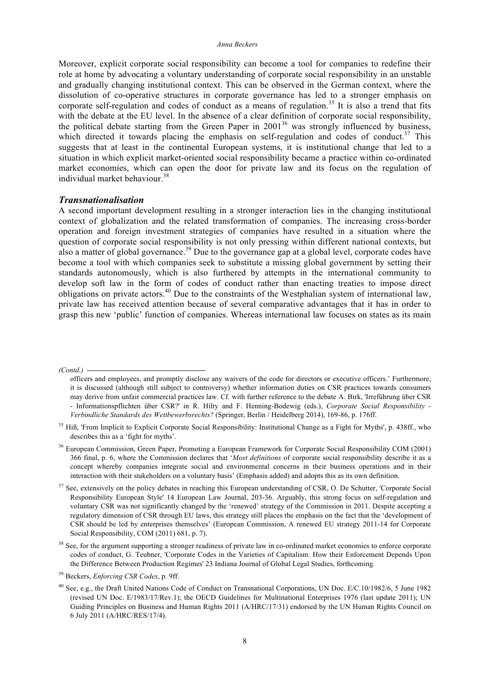#### *Anna Beckers*

Moreover, explicit corporate social responsibility can become a tool for companies to redefine their role at home by advocating a voluntary understanding of corporate social responsibility in an unstable and gradually changing institutional context. This can be observed in the German context, where the dissolution of co-operative structures in corporate governance has led to a stronger emphasis on corporate self-regulation and codes of conduct as a means of regulation.<sup>35</sup> It is also a trend that fits with the debate at the EU level. In the absence of a clear definition of corporate social responsibility, the political debate starting from the Green Paper in  $2001^{36}$  was strongly influenced by business, which directed it towards placing the emphasis on self-regulation and codes of conduct.<sup>37</sup> This suggests that at least in the continental European systems, it is institutional change that led to a situation in which explicit market-oriented social responsibility became a practice within co-ordinated market economies, which can open the door for private law and its focus on the regulation of individual market behaviour.<sup>38</sup>

#### *Transnationalisation*

A second important development resulting in a stronger interaction lies in the changing institutional context of globalization and the related transformation of companies. The increasing cross-border operation and foreign investment strategies of companies have resulted in a situation where the question of corporate social responsibility is not only pressing within different national contexts, but also a matter of global governance.<sup>39</sup> Due to the governance gap at a global level, corporate codes have become a tool with which companies seek to substitute a missing global government by setting their standards autonomously, which is also furthered by attempts in the international community to develop soft law in the form of codes of conduct rather than enacting treaties to impose direct obligations on private actors.<sup>40</sup> Due to the constraints of the Westphalian system of international law, private law has received attention because of several comparative advantages that it has in order to grasp this new 'public' function of companies. Whereas international law focuses on states as its main

*(Contd.)* 

officers and employees, and promptly disclose any waivers of the code for directors or executive officers.' Furthermore, it is discussed (although still subject to controversy) whether information duties on CSR practices towards consumers may derive from unfair commercial practices law. Cf. with further reference to the debate A. Birk, 'Irreführung über CSR - Informationspflichten über CSR?' in R. Hilty and F. Henning-Bodewig (eds.), *Corporate Social Responsibility - Verbindliche Standards des Wettbewerbsrechts?* (Springer, Berlin / Heidelberg 2014), 169-86, p. 176ff.

<sup>&</sup>lt;sup>35</sup> Hiß, 'From Implicit to Explicit Corporate Social Responsibility: Institutional Change as a Fight for Myths', p. 438ff., who describes this as a 'fight for myths'.

<sup>&</sup>lt;sup>36</sup> European Commission, Green Paper, Promoting a European Framework for Corporate Social Responsibility COM (2001) 366 final, p. 6, where the Commission declares that '*Most definitions* of corporate social responsibility describe it as a concept whereby companies integrate social and environmental concerns in their business operations and in their interaction with their stakeholders on a voluntary basis' (Emphasis added) and adopts this as its own definition.

<sup>&</sup>lt;sup>37</sup> See, extensively on the policy debates in reaching this European understanding of CSR, O. De Schutter, 'Corporate Social Responsibility European Style' 14 European Law Journal, 203-36. Arguably, this strong focus on self-regulation and voluntary CSR was not significantly changed by the 'renewed' strategy of the Commission in 2011. Despite accepting a regulatory dimension of CSR through EU laws, this strategy still places the emphasis on the fact that the 'development of CSR should be led by enterprises themselves' (European Commission, A renewed EU strategy 2011-14 for Corporate Social Responsibility, COM (2011) 681, p. 7).

<sup>&</sup>lt;sup>38</sup> See, for the argument supporting a stronger readiness of private law in co-ordinated market economies to enforce corporate codes of conduct, G. Teubner, 'Corporate Codes in the Varieties of Capitalism: How their Enforcement Depends Upon the Difference Between Production Regimes' 23 Indiana Journal of Global Legal Studies, forthcoming.

<sup>39</sup> Beckers, *Enforcing CSR Codes*, p. 9ff.

<sup>40</sup> See, e.g., the Draft United Nations Code of Conduct on Transnational Corporations, UN Doc. E/C.10/1982/6, 5 June 1982 (revised UN Doc. E/1983/17/Rev.1); the OECD Guidelines for Multinational Enterprises 1976 (last update 2011); UN Guiding Principles on Business and Human Rights 2011 (A/HRC/17/31) endorsed by the UN Human Rights Council on 6 July 2011 (A/HRC/RES/17/4).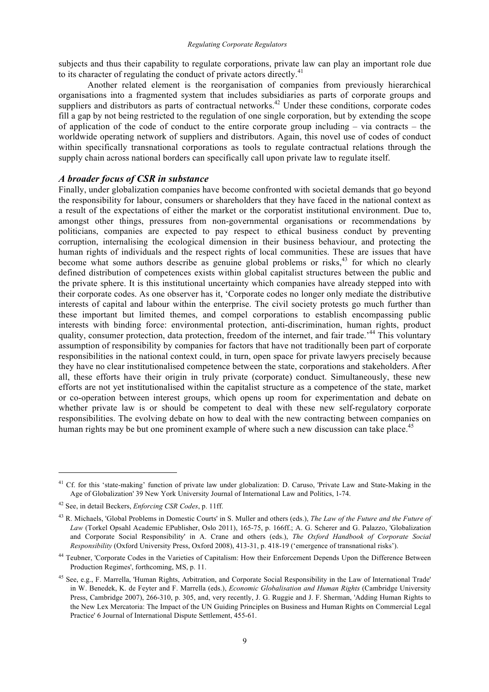subjects and thus their capability to regulate corporations, private law can play an important role due to its character of regulating the conduct of private actors directly.<sup>41</sup>

Another related element is the reorganisation of companies from previously hierarchical organisations into a fragmented system that includes subsidiaries as parts of corporate groups and suppliers and distributors as parts of contractual networks.<sup>42</sup> Under these conditions, corporate codes fill a gap by not being restricted to the regulation of one single corporation, but by extending the scope of application of the code of conduct to the entire corporate group including  $-$  via contracts  $-$  the worldwide operating network of suppliers and distributors. Again, this novel use of codes of conduct within specifically transnational corporations as tools to regulate contractual relations through the supply chain across national borders can specifically call upon private law to regulate itself.

# *A broader focus of CSR in substance*

Finally, under globalization companies have become confronted with societal demands that go beyond the responsibility for labour, consumers or shareholders that they have faced in the national context as a result of the expectations of either the market or the corporatist institutional environment. Due to, amongst other things, pressures from non-governmental organisations or recommendations by politicians, companies are expected to pay respect to ethical business conduct by preventing corruption, internalising the ecological dimension in their business behaviour, and protecting the human rights of individuals and the respect rights of local communities. These are issues that have become what some authors describe as genuine global problems or risks,<sup>43</sup> for which no clearly defined distribution of competences exists within global capitalist structures between the public and the private sphere. It is this institutional uncertainty which companies have already stepped into with their corporate codes. As one observer has it, 'Corporate codes no longer only mediate the distributive interests of capital and labour within the enterprise. The civil society protests go much further than these important but limited themes, and compel corporations to establish encompassing public interests with binding force: environmental protection, anti-discrimination, human rights, product quality, consumer protection, data protection, freedom of the internet, and fair trade.<sup>44</sup> This voluntary assumption of responsibility by companies for factors that have not traditionally been part of corporate responsibilities in the national context could, in turn, open space for private lawyers precisely because they have no clear institutionalised competence between the state, corporations and stakeholders. After all, these efforts have their origin in truly private (corporate) conduct. Simultaneously, these new efforts are not yet institutionalised within the capitalist structure as a competence of the state, market or co-operation between interest groups, which opens up room for experimentation and debate on whether private law is or should be competent to deal with these new self-regulatory corporate responsibilities. The evolving debate on how to deal with the new contracting between companies on human rights may be but one prominent example of where such a new discussion can take place.<sup>45</sup>

<sup>&</sup>lt;sup>41</sup> Cf. for this 'state-making' function of private law under globalization: D. Caruso, 'Private Law and State-Making in the Age of Globalization' 39 New York University Journal of International Law and Politics, 1-74.

<sup>42</sup> See, in detail Beckers, *Enforcing CSR Codes*, p. 11ff.

<sup>43</sup> R. Michaels, 'Global Problems in Domestic Courts' in S. Muller and others (eds.), *The Law of the Future and the Future of Law* (Torkel Opsahl Academic EPublisher, Oslo 2011), 165-75, p. 166ff.; A. G. Scherer and G. Palazzo, 'Globalization and Corporate Social Responsibility' in A. Crane and others (eds.), *The Oxford Handbook of Corporate Social Responsibility* (Oxford University Press, Oxford 2008), 413-31, p. 418-19 ('emergence of transnational risks').

<sup>&</sup>lt;sup>44</sup> Teubner, 'Corporate Codes in the Varieties of Capitalism: How their Enforcement Depends Upon the Difference Between Production Regimes', forthcoming, MS, p. 11.

<sup>45</sup> See, e.g., F. Marrella, 'Human Rights, Arbitration, and Corporate Social Responsibility in the Law of International Trade' in W. Benedek, K. de Feyter and F. Marrella (eds.), *Economic Globalisation and Human Rights* (Cambridge University Press, Cambridge 2007), 266-310, p. 305, and, very recently, J. G. Ruggie and J. F. Sherman, 'Adding Human Rights to the New Lex Mercatoria: The Impact of the UN Guiding Principles on Business and Human Rights on Commercial Legal Practice' 6 Journal of International Dispute Settlement, 455-61.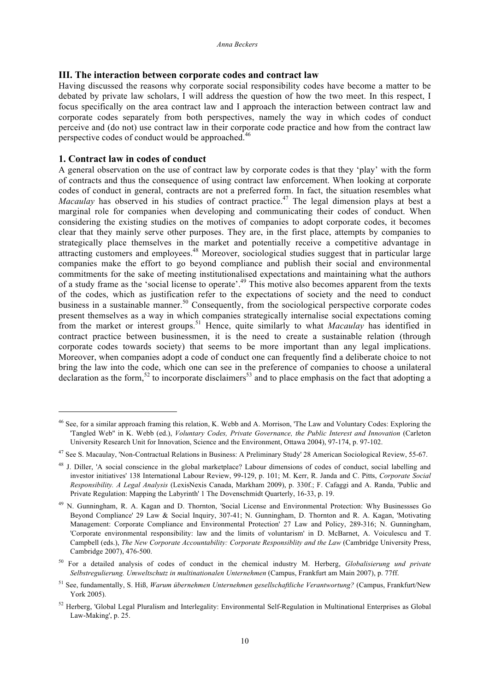## **III. The interaction between corporate codes and contract law**

Having discussed the reasons why corporate social responsibility codes have become a matter to be debated by private law scholars, I will address the question of how the two meet. In this respect, I focus specifically on the area contract law and I approach the interaction between contract law and corporate codes separately from both perspectives, namely the way in which codes of conduct perceive and (do not) use contract law in their corporate code practice and how from the contract law perspective codes of conduct would be approached.<sup>46</sup>

## **1. Contract law in codes of conduct**

1

A general observation on the use of contract law by corporate codes is that they 'play' with the form of contracts and thus the consequence of using contract law enforcement. When looking at corporate codes of conduct in general, contracts are not a preferred form. In fact, the situation resembles what *Macaulay* has observed in his studies of contract practice.<sup>47</sup> The legal dimension plays at best a marginal role for companies when developing and communicating their codes of conduct. When considering the existing studies on the motives of companies to adopt corporate codes, it becomes clear that they mainly serve other purposes. They are, in the first place, attempts by companies to strategically place themselves in the market and potentially receive a competitive advantage in attracting customers and employees.<sup>48</sup> Moreover, sociological studies suggest that in particular large companies make the effort to go beyond compliance and publish their social and environmental commitments for the sake of meeting institutionalised expectations and maintaining what the authors of a study frame as the 'social license to operate'.49 This motive also becomes apparent from the texts of the codes, which as justification refer to the expectations of society and the need to conduct business in a sustainable manner.<sup>50</sup> Consequently, from the sociological perspective corporate codes present themselves as a way in which companies strategically internalise social expectations coming from the market or interest groups.<sup>51</sup> Hence, quite similarly to what *Macaulay* has identified in contract practice between businessmen, it is the need to create a sustainable relation (through corporate codes towards society) that seems to be more important than any legal implications. Moreover, when companies adopt a code of conduct one can frequently find a deliberate choice to not bring the law into the code, which one can see in the preference of companies to choose a unilateral declaration as the form,<sup>52</sup> to incorporate disclaimers<sup>53</sup> and to place emphasis on the fact that adopting a

<sup>&</sup>lt;sup>46</sup> See, for a similar approach framing this relation, K. Webb and A. Morrison, 'The Law and Voluntary Codes: Exploring the 'Tangled Web'' in K. Webb (ed.), *Voluntary Codes, Private Governance, the Public Interest and Innovation* (Carleton University Research Unit for Innovation, Science and the Environment, Ottawa 2004), 97-174, p. 97-102.

<sup>47</sup> See S. Macaulay, 'Non-Contractual Relations in Business: A Preliminary Study' 28 American Sociological Review, 55-67.

<sup>48</sup> J. Diller, 'A social conscience in the global marketplace? Labour dimensions of codes of conduct, social labelling and investor initiatives' 138 International Labour Review, 99-129, p. 101; M. Kerr, R. Janda and C. Pitts, *Corporate Social Responsibility. A Legal Analysis* (LexisNexis Canada, Markham 2009), p. 330f.; F. Cafaggi and A. Randa, 'Public and Private Regulation: Mapping the Labyrinth' 1 The Dovenschmidt Quarterly, 16-33, p. 19.

<sup>49</sup> N. Gunningham, R. A. Kagan and D. Thornton, 'Social License and Environmental Protection: Why Businessses Go Beyond Compliance' 29 Law & Social Inquiry, 307-41; N. Gunningham, D. Thornton and R. A. Kagan, 'Motivating Management: Corporate Compliance and Environmental Protection' 27 Law and Policy, 289-316; N. Gunningham, 'Corporate environmental responsibility: law and the limits of voluntarism' in D. McBarnet, A. Voiculescu and T. Campbell (eds.), *The New Corporate Accountability: Corporate Responsiblity and the Law* (Cambridge University Press, Cambridge 2007), 476-500.

<sup>50</sup> For a detailed analysis of codes of conduct in the chemical industry M. Herberg, *Globalisierung und private Selbstregulierung. Umweltschutz in multinationalen Unternehmen* (Campus, Frankfurt am Main 2007), p. 77ff.

<sup>51</sup> See, fundamentally, S. Hiß, *Warum übernehmen Unternehmen gesellschaftliche Verantwortung?* (Campus, Frankfurt/New York 2005).

 $52$  Herberg, 'Global Legal Pluralism and Interlegality: Environmental Self-Regulation in Multinational Enterprises as Global Law-Making', p. 25.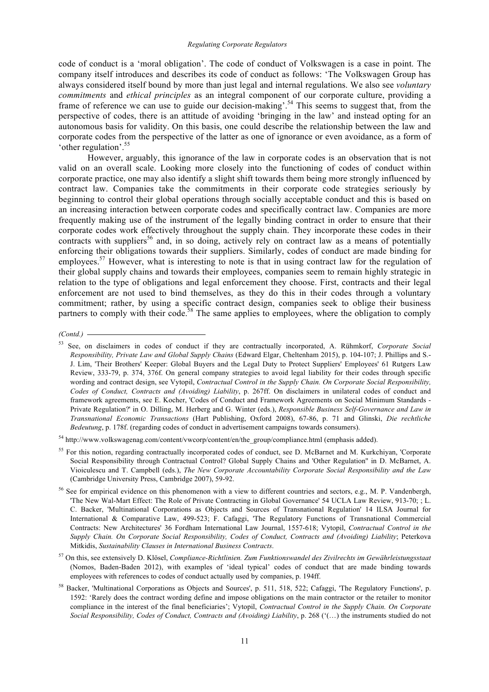code of conduct is a 'moral obligation'. The code of conduct of Volkswagen is a case in point. The company itself introduces and describes its code of conduct as follows: 'The Volkswagen Group has always considered itself bound by more than just legal and internal regulations. We also see *voluntary commitments* and *ethical principles* as an integral component of our corporate culture, providing a frame of reference we can use to guide our decision-making'.<sup>54</sup> This seems to suggest that, from the perspective of codes, there is an attitude of avoiding 'bringing in the law' and instead opting for an autonomous basis for validity. On this basis, one could describe the relationship between the law and corporate codes from the perspective of the latter as one of ignorance or even avoidance, as a form of 'other regulation'.55

However, arguably, this ignorance of the law in corporate codes is an observation that is not valid on an overall scale. Looking more closely into the functioning of codes of conduct within corporate practice, one may also identify a slight shift towards them being more strongly influenced by contract law. Companies take the commitments in their corporate code strategies seriously by beginning to control their global operations through socially acceptable conduct and this is based on an increasing interaction between corporate codes and specifically contract law. Companies are more frequently making use of the instrument of the legally binding contract in order to ensure that their corporate codes work effectively throughout the supply chain. They incorporate these codes in their contracts with suppliers<sup>56</sup> and, in so doing, actively rely on contract law as a means of potentially enforcing their obligations towards their suppliers. Similarly, codes of conduct are made binding for employees.<sup>57</sup> However, what is interesting to note is that in using contract law for the regulation of their global supply chains and towards their employees, companies seem to remain highly strategic in relation to the type of obligations and legal enforcement they choose. First, contracts and their legal enforcement are not used to bind themselves, as they do this in their codes through a voluntary commitment; rather, by using a specific contract design, companies seek to oblige their business partners to comply with their code.<sup>58</sup> The same applies to employees, where the obligation to comply

*(Contd.)* 

<sup>57</sup> On this, see extensively D. Klösel, *Compliance-Richtlinien. Zum Funktionswandel des Zivilrechts im Gewährleistungsstaat* (Nomos, Baden-Baden 2012), with examples of 'ideal typical' codes of conduct that are made binding towards employees with references to codes of conduct actually used by companies, p. 194ff.

<sup>53</sup> See, on disclaimers in codes of conduct if they are contractually incorporated, A. Rühmkorf, *Corporate Social Responsibility, Private Law and Global Supply Chains* (Edward Elgar, Cheltenham 2015), p. 104-107; J. Phillips and S.- J. Lim, 'Their Brothers' Keeper: Global Buyers and the Legal Duty to Protect Suppliers' Employees' 61 Rutgers Law Review, 333-79, p. 374, 376f. On general company strategies to avoid legal liability for their codes through specific wording and contract design, see Vytopil, *Contractual Control in the Supply Chain. On Corporate Social Responsibility, Codes of Conduct, Contracts and (Avoiding) Liability*, p. 267ff. On disclaimers in unilateral codes of conduct and framework agreements, see E. Kocher, 'Codes of Conduct and Framework Agreements on Social Minimum Standards - Private Regulation?' in O. Dilling, M. Herberg and G. Winter (eds.), *Responsible Business Self-Governance and Law in Transnational Economic Transactions* (Hart Publishing, Oxford 2008), 67-86, p. 71 and Glinski, *Die rechtliche Bedeutung*, p. 178f. (regarding codes of conduct in advertisement campaigns towards consumers).

<sup>54</sup> http://www.volkswagenag.com/content/vwcorp/content/en/the\_group/compliance.html (emphasis added).

<sup>&</sup>lt;sup>55</sup> For this notion, regarding contractually incorporated codes of conduct, see D. McBarnet and M. Kurkchiyan, 'Corporate Social Responsibility through Contractual Control? Global Supply Chains and 'Other Regulation'' in D. McBarnet, A. Vioiculescu and T. Campbell (eds.), *The New Corporate Accountability Corporate Social Responsibility and the Law* (Cambridge University Press, Cambridge 2007), 59-92.

<sup>&</sup>lt;sup>56</sup> See for empirical evidence on this phenomenon with a view to different countries and sectors, e.g., M. P. Vandenbergh, 'The New Wal-Mart Effect: The Role of Private Contracting in Global Governance' 54 UCLA Law Review, 913-70; ; L. C. Backer, 'Multinational Corporations as Objects and Sources of Transnational Regulation' 14 ILSA Journal for International & Comparative Law, 499-523; F. Cafaggi, 'The Regulatory Functions of Transnational Commercial Contracts: New Architectures' 36 Fordham International Law Journal, 1557-618; Vytopil, *Contractual Control in the Supply Chain. On Corporate Social Responsibility, Codes of Conduct, Contracts and (Avoiding) Liability*; Peterkova Mitkidis, *Sustainability Clauses in International Business Contracts*.

<sup>58</sup> Backer, 'Multinational Corporations as Objects and Sources', p. 511, 518, 522; Cafaggi, 'The Regulatory Functions', p. 1592: 'Rarely does the contract wording define and impose obligations on the main contractor or the retailer to monitor compliance in the interest of the final beneficiaries'; Vytopil, *Contractual Control in the Supply Chain. On Corporate Social Responsibility, Codes of Conduct, Contracts and (Avoiding) Liability*, p. 268 ('(…) the instruments studied do not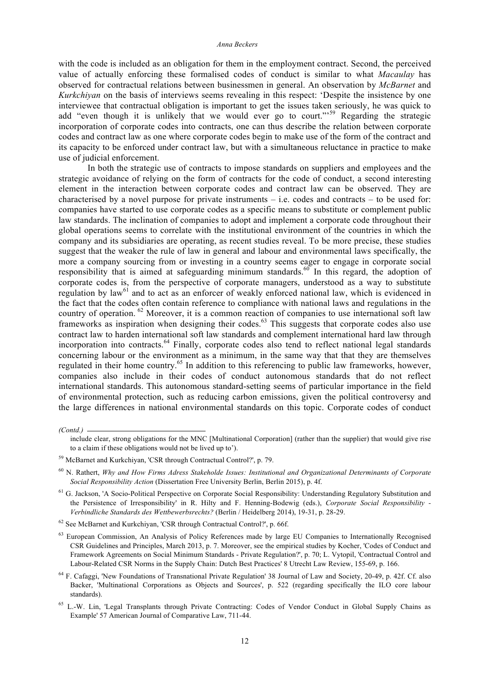with the code is included as an obligation for them in the employment contract. Second, the perceived value of actually enforcing these formalised codes of conduct is similar to what *Macaulay* has observed for contractual relations between businessmen in general. An observation by *McBarnet* and *Kurkchiyan* on the basis of interviews seems revealing in this respect: 'Despite the insistence by one interviewee that contractual obligation is important to get the issues taken seriously, he was quick to add "even though it is unlikely that we would ever go to court."<sup>59</sup> Regarding the strategic incorporation of corporate codes into contracts, one can thus describe the relation between corporate codes and contract law as one where corporate codes begin to make use of the form of the contract and its capacity to be enforced under contract law, but with a simultaneous reluctance in practice to make use of judicial enforcement.

In both the strategic use of contracts to impose standards on suppliers and employees and the strategic avoidance of relying on the form of contracts for the code of conduct, a second interesting element in the interaction between corporate codes and contract law can be observed. They are characterised by a novel purpose for private instruments  $-$  i.e. codes and contracts  $-$  to be used for: companies have started to use corporate codes as a specific means to substitute or complement public law standards. The inclination of companies to adopt and implement a corporate code throughout their global operations seems to correlate with the institutional environment of the countries in which the company and its subsidiaries are operating, as recent studies reveal. To be more precise, these studies suggest that the weaker the rule of law in general and labour and environmental laws specifically, the more a company sourcing from or investing in a country seems eager to engage in corporate social responsibility that is aimed at safeguarding minimum standards.<sup>60</sup> In this regard, the adoption of corporate codes is, from the perspective of corporate managers, understood as a way to substitute regulation by law<sup>61</sup> and to act as an enforcer of weakly enforced national law, which is evidenced in the fact that the codes often contain reference to compliance with national laws and regulations in the country of operation. <sup>62</sup> Moreover, it is a common reaction of companies to use international soft law frameworks as inspiration when designing their codes.<sup>63</sup> This suggests that corporate codes also use contract law to harden international soft law standards and complement international hard law through incorporation into contracts.<sup>64</sup> Finally, corporate codes also tend to reflect national legal standards concerning labour or the environment as a minimum, in the same way that that they are themselves regulated in their home country.<sup>65</sup> In addition to this referencing to public law frameworks, however, companies also include in their codes of conduct autonomous standards that do not reflect international standards. This autonomous standard-setting seems of particular importance in the field of environmental protection, such as reducing carbon emissions, given the political controversy and the large differences in national environmental standards on this topic. Corporate codes of conduct

*<sup>(</sup>Contd.)* 

include clear, strong obligations for the MNC [Multinational Corporation] (rather than the supplier) that would give rise to a claim if these obligations would not be lived up to').

<sup>59</sup> McBarnet and Kurkchiyan, 'CSR through Contractual Control?', p. 79.

<sup>60</sup> N. Rathert, *Why and How Firms Adress Stakeholde Issues: Institutional and Organizational Determinants of Corporate Social Responsibility Action* (Dissertation Free University Berlin, Berlin 2015), p. 4f.

<sup>&</sup>lt;sup>61</sup> G. Jackson, 'A Socio-Political Perspective on Corporate Social Responsibility: Understanding Regulatory Substitution and the Persistence of Irresponsibility' in R. Hilty and F. Henning-Bodewig (eds.), *Corporate Social Responsibility - Verbindliche Standards des Wettbewerbsrechts?* (Berlin / Heidelberg 2014), 19-31, p. 28-29.

<sup>62</sup> See McBarnet and Kurkchiyan, 'CSR through Contractual Control?', p. 66f.

<sup>&</sup>lt;sup>63</sup> European Commission, An Analysis of Policy References made by large EU Companies to Internationally Recognised CSR Guidelines and Principles, March 2013, p. 7. Moreover, see the empirical studies by Kocher, 'Codes of Conduct and Framework Agreements on Social Minimum Standards - Private Regulation?', p. 70; L. Vytopil, 'Contractual Control and Labour-Related CSR Norms in the Supply Chain: Dutch Best Practices' 8 Utrecht Law Review, 155-69, p. 166.

<sup>64</sup> F. Cafaggi, 'New Foundations of Transnational Private Regulation' 38 Journal of Law and Society, 20-49, p. 42f. Cf. also Backer, 'Multinational Corporations as Objects and Sources', p. 522 (regarding specifically the ILO core labour standards).

<sup>65</sup> L.-W. Lin, 'Legal Transplants through Private Contracting: Codes of Vendor Conduct in Global Supply Chains as Example' 57 American Journal of Comparative Law, 711-44.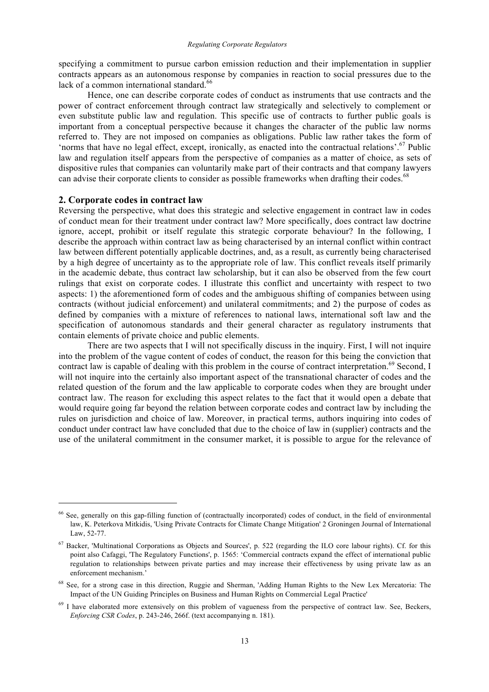specifying a commitment to pursue carbon emission reduction and their implementation in supplier contracts appears as an autonomous response by companies in reaction to social pressures due to the lack of a common international standard. $66$ 

Hence, one can describe corporate codes of conduct as instruments that use contracts and the power of contract enforcement through contract law strategically and selectively to complement or even substitute public law and regulation. This specific use of contracts to further public goals is important from a conceptual perspective because it changes the character of the public law norms referred to. They are not imposed on companies as obligations. Public law rather takes the form of 'norms that have no legal effect, except, ironically, as enacted into the contractual relations'.<sup>67</sup> Public law and regulation itself appears from the perspective of companies as a matter of choice, as sets of dispositive rules that companies can voluntarily make part of their contracts and that company lawyers can advise their corporate clients to consider as possible frameworks when drafting their codes.<sup>68</sup>

#### **2. Corporate codes in contract law**

1

Reversing the perspective, what does this strategic and selective engagement in contract law in codes of conduct mean for their treatment under contract law? More specifically, does contract law doctrine ignore, accept, prohibit or itself regulate this strategic corporate behaviour? In the following, I describe the approach within contract law as being characterised by an internal conflict within contract law between different potentially applicable doctrines, and, as a result, as currently being characterised by a high degree of uncertainty as to the appropriate role of law. This conflict reveals itself primarily in the academic debate, thus contract law scholarship, but it can also be observed from the few court rulings that exist on corporate codes. I illustrate this conflict and uncertainty with respect to two aspects: 1) the aforementioned form of codes and the ambiguous shifting of companies between using contracts (without judicial enforcement) and unilateral commitments; and 2) the purpose of codes as defined by companies with a mixture of references to national laws, international soft law and the specification of autonomous standards and their general character as regulatory instruments that contain elements of private choice and public elements.

There are two aspects that I will not specifically discuss in the inquiry. First, I will not inquire into the problem of the vague content of codes of conduct, the reason for this being the conviction that contract law is capable of dealing with this problem in the course of contract interpretation.<sup>69</sup> Second, I will not inquire into the certainly also important aspect of the transnational character of codes and the related question of the forum and the law applicable to corporate codes when they are brought under contract law. The reason for excluding this aspect relates to the fact that it would open a debate that would require going far beyond the relation between corporate codes and contract law by including the rules on jurisdiction and choice of law. Moreover, in practical terms, authors inquiring into codes of conduct under contract law have concluded that due to the choice of law in (supplier) contracts and the use of the unilateral commitment in the consumer market, it is possible to argue for the relevance of

<sup>66</sup> See, generally on this gap-filling function of (contractually incorporated) codes of conduct, in the field of environmental law, K. Peterkova Mitkidis, 'Using Private Contracts for Climate Change Mitigation' 2 Groningen Journal of International Law, 52-77.

<sup>67</sup> Backer, 'Multinational Corporations as Objects and Sources', p. 522 (regarding the ILO core labour rights). Cf. for this point also Cafaggi, 'The Regulatory Functions', p. 1565: 'Commercial contracts expand the effect of international public regulation to relationships between private parties and may increase their effectiveness by using private law as an enforcement mechanism.'

<sup>&</sup>lt;sup>68</sup> See, for a strong case in this direction, Ruggie and Sherman, 'Adding Human Rights to the New Lex Mercatoria: The Impact of the UN Guiding Principles on Business and Human Rights on Commercial Legal Practice'

 $<sup>69</sup>$  I have elaborated more extensively on this problem of vagueness from the perspective of contract law. See, Beckers,</sup> *Enforcing CSR Codes*, p. 243-246, 266f. (text accompanying n. 181).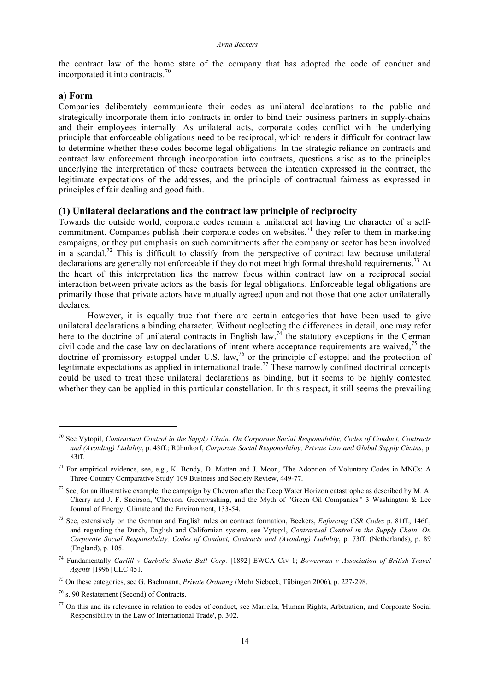the contract law of the home state of the company that has adopted the code of conduct and incorporated it into contracts. $\frac{70}{2}$ 

# **a) Form**

1

Companies deliberately communicate their codes as unilateral declarations to the public and strategically incorporate them into contracts in order to bind their business partners in supply-chains and their employees internally. As unilateral acts, corporate codes conflict with the underlying principle that enforceable obligations need to be reciprocal, which renders it difficult for contract law to determine whether these codes become legal obligations. In the strategic reliance on contracts and contract law enforcement through incorporation into contracts, questions arise as to the principles underlying the interpretation of these contracts between the intention expressed in the contract, the legitimate expectations of the addresses, and the principle of contractual fairness as expressed in principles of fair dealing and good faith.

# **(1) Unilateral declarations and the contract law principle of reciprocity**

Towards the outside world, corporate codes remain a unilateral act having the character of a selfcommitment. Companies publish their corporate codes on websites, $^{71}$  they refer to them in marketing campaigns, or they put emphasis on such commitments after the company or sector has been involved in a scandal.<sup>72</sup> This is difficult to classify from the perspective of contract law because unilateral declarations are generally not enforceable if they do not meet high formal threshold requirements.<sup>73</sup> At the heart of this interpretation lies the narrow focus within contract law on a reciprocal social interaction between private actors as the basis for legal obligations. Enforceable legal obligations are primarily those that private actors have mutually agreed upon and not those that one actor unilaterally declares.

However, it is equally true that there are certain categories that have been used to give unilateral declarations a binding character. Without neglecting the differences in detail, one may refer here to the doctrine of unilateral contracts in English law,<sup>74</sup> the statutory exceptions in the German civil code and the case law on declarations of intent where acceptance requirements are waived,  $^{75}$  the doctrine of promissory estoppel under U.S. law,<sup>76</sup> or the principle of estoppel and the protection of legitimate expectations as applied in international trade.<sup>77</sup> These narrowly confined doctrinal concepts could be used to treat these unilateral declarations as binding, but it seems to be highly contested whether they can be applied in this particular constellation. In this respect, it still seems the prevailing

<sup>70</sup> See Vytopil, *Contractual Control in the Supply Chain. On Corporate Social Responsibility, Codes of Conduct, Contracts and (Avoiding) Liability*, p. 43ff.; Rühmkorf, *Corporate Social Responsibility, Private Law and Global Supply Chains*, p. 83ff.

<sup>71</sup> For empirical evidence, see, e.g., K. Bondy, D. Matten and J. Moon, 'The Adoption of Voluntary Codes in MNCs: A Three-Country Comparative Study' 109 Business and Society Review, 449-77.

 $72$  See, for an illustrative example, the campaign by Chevron after the Deep Water Horizon catastrophe as described by M. A. Cherry and J. F. Sneirson, 'Chevron, Greenwashing, and the Myth of "Green Oil Companies"' 3 Washington & Lee Journal of Energy, Climate and the Environment, 133-54.

<sup>73</sup> See, extensively on the German and English rules on contract formation, Beckers, *Enforcing CSR Codes* p. 81ff., 146f.; and regarding the Dutch, English and Californian system, see Vytopil, *Contractual Control in the Supply Chain. On Corporate Social Responsibility, Codes of Conduct, Contracts and (Avoiding) Liability*, p. 73ff. (Netherlands), p. 89 (England), p. 105.

<sup>74</sup> Fundamentally *Carlill v Carbolic Smoke Ball Corp.* [1892] EWCA Civ 1; *Bowerman v Association of British Travel Agents* [1996] CLC 451.

<sup>75</sup> On these categories, see G. Bachmann, *Private Ordnung* (Mohr Siebeck, Tübingen 2006), p. 227-298.

<sup>76</sup> s. 90 Restatement (Second) of Contracts.

<sup>77</sup> On this and its relevance in relation to codes of conduct, see Marrella, 'Human Rights, Arbitration, and Corporate Social Responsibility in the Law of International Trade', p. 302.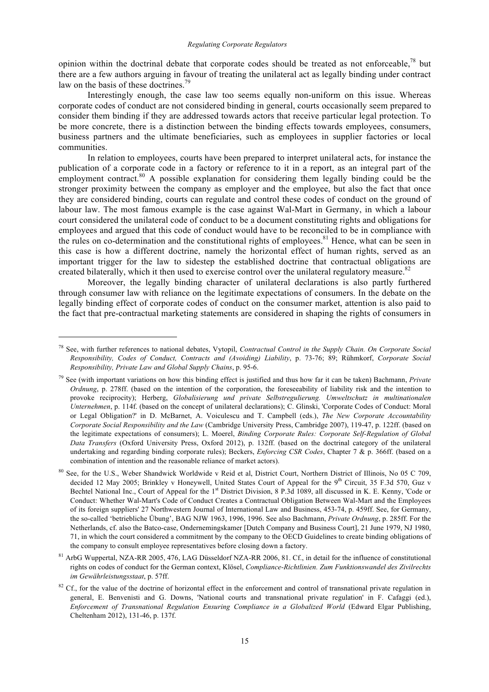opinion within the doctrinal debate that corporate codes should be treated as not enforceable,<sup>78</sup> but there are a few authors arguing in favour of treating the unilateral act as legally binding under contract law on the basis of these doctrines.<sup>79</sup>

Interestingly enough, the case law too seems equally non-uniform on this issue. Whereas corporate codes of conduct are not considered binding in general, courts occasionally seem prepared to consider them binding if they are addressed towards actors that receive particular legal protection. To be more concrete, there is a distinction between the binding effects towards employees, consumers, business partners and the ultimate beneficiaries, such as employees in supplier factories or local communities.

In relation to employees, courts have been prepared to interpret unilateral acts, for instance the publication of a corporate code in a factory or reference to it in a report, as an integral part of the employment contract.<sup>80</sup> A possible explanation for considering them legally binding could be the stronger proximity between the company as employer and the employee, but also the fact that once they are considered binding, courts can regulate and control these codes of conduct on the ground of labour law. The most famous example is the case against Wal-Mart in Germany, in which a labour court considered the unilateral code of conduct to be a document constituting rights and obligations for employees and argued that this code of conduct would have to be reconciled to be in compliance with the rules on co-determination and the constitutional rights of employees.<sup>81</sup> Hence, what can be seen in this case is how a different doctrine, namely the horizontal effect of human rights, served as an important trigger for the law to sidestep the established doctrine that contractual obligations are created bilaterally, which it then used to exercise control over the unilateral regulatory measure.<sup>82</sup>

Moreover, the legally binding character of unilateral declarations is also partly furthered through consumer law with reliance on the legitimate expectations of consumers. In the debate on the legally binding effect of corporate codes of conduct on the consumer market, attention is also paid to the fact that pre-contractual marketing statements are considered in shaping the rights of consumers in

<sup>78</sup> See, with further references to national debates, Vytopil, *Contractual Control in the Supply Chain. On Corporate Social Responsibility, Codes of Conduct, Contracts and (Avoiding) Liability*, p. 73-76; 89; Rühmkorf, *Corporate Social Responsibility, Private Law and Global Supply Chains*, p. 95-6.

<sup>79</sup> See (with important variations on how this binding effect is justified and thus how far it can be taken) Bachmann, *Private Ordnung*, p. 278ff. (based on the intention of the corporation, the foreseeability of liability risk and the intention to provoke reciprocity); Herberg, *Globalisierung und private Selbstregulierung. Umweltschutz in multinationalen Unternehmen*, p. 114f. (based on the concept of unilateral declarations); C. Glinski, 'Corporate Codes of Conduct: Moral or Legal Obligation?' in D. McBarnet, A. Voiculescu and T. Campbell (eds.), *The New Corporate Accountability Corporate Social Responsibility and the Law* (Cambridge University Press, Cambridge 2007), 119-47, p. 122ff. (based on the legitimate expectations of consumers); L. Moerel, *Binding Corporate Rules: Corporate Self-Regulation of Global Data Transfers* (Oxford University Press, Oxford 2012), p. 132ff. (based on the doctrinal category of the unilateral undertaking and regarding binding corporate rules); Beckers, *Enforcing CSR Codes*, Chapter 7 & p. 366ff. (based on a combination of intention and the reasonable reliance of market actors).

<sup>&</sup>lt;sup>80</sup> See, for the U.S., Weber Shandwick Worldwide v Reid et al, District Court, Northern District of Illinois, No 05 C 709, decided 12 May 2005; Brinkley v Honeywell, United States Court of Appeal for the 9<sup>th</sup> Circuit, 35 F.3d 570, Guz v Bechtel National Inc., Court of Appeal for the 1<sup>st</sup> District Division, 8 P.3d 1089, all discussed in K. E. Kenny, 'Code or Conduct: Whether Wal-Mart's Code of Conduct Creates a Contractual Obligation Between Wal-Mart and the Employees of its foreign suppliers' 27 Northwestern Journal of International Law and Business, 453-74, p. 459ff. See, for Germany, the so-called 'betriebliche Übung', BAG NJW 1963, 1996, 1996. See also Bachmann, *Private Ordnung*, p. 285ff. For the Netherlands, cf. also the Batco-case, Ondernemingskamer [Dutch Company and Business Court], 21 June 1979, NJ 1980, 71, in which the court considered a commitment by the company to the OECD Guidelines to create binding obligations of the company to consult employee representatives before closing down a factory.

<sup>81</sup> ArbG Wuppertal, NZA-RR 2005, 476, LAG Düsseldorf NZA-RR 2006, 81. Cf., in detail for the influence of constitutional rights on codes of conduct for the German context, Klösel, *Compliance-Richtlinien. Zum Funktionswandel des Zivilrechts im Gewährleistungsstaat*, p. 57ff.

 $82$  Cf., for the value of the doctrine of horizontal effect in the enforcement and control of transnational private regulation in general, E. Benvenisti and G. Downs, 'National courts and transnational private regulation' in F. Cafaggi (ed.), *Enforcement of Transnational Regulation Ensuring Compliance in a Globalized World* (Edward Elgar Publishing, Cheltenham 2012), 131-46, p. 137f.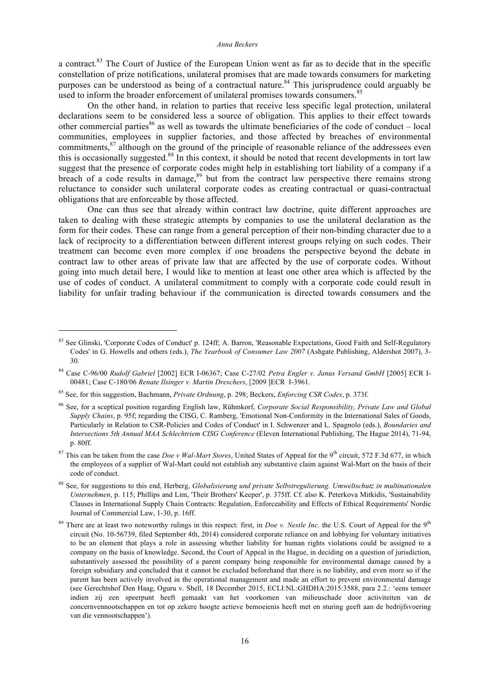a contract.<sup>83</sup> The Court of Justice of the European Union went as far as to decide that in the specific constellation of prize notifications, unilateral promises that are made towards consumers for marketing purposes can be understood as being of a contractual nature.<sup>84</sup> This jurisprudence could arguably be used to inform the broader enforcement of unilateral promises towards consumers.<sup>85</sup>

On the other hand, in relation to parties that receive less specific legal protection, unilateral declarations seem to be considered less a source of obligation. This applies to their effect towards other commercial parties<sup>86</sup> as well as towards the ultimate beneficiaries of the code of conduct – local communities, employees in supplier factories, and those affected by breaches of environmental commitments,<sup>87</sup> although on the ground of the principle of reasonable reliance of the addressees even this is occasionally suggested.<sup>88</sup> In this context, it should be noted that recent developments in tort law suggest that the presence of corporate codes might help in establishing tort liability of a company if a breach of a code results in damage,<sup>89</sup> but from the contract law perspective there remains strong reluctance to consider such unilateral corporate codes as creating contractual or quasi-contractual obligations that are enforceable by those affected.

One can thus see that already within contract law doctrine, quite different approaches are taken to dealing with these strategic attempts by companies to use the unilateral declaration as the form for their codes. These can range from a general perception of their non-binding character due to a lack of reciprocity to a differentiation between different interest groups relying on such codes. Their treatment can become even more complex if one broadens the perspective beyond the debate in contract law to other areas of private law that are affected by the use of corporate codes. Without going into much detail here, I would like to mention at least one other area which is affected by the use of codes of conduct. A unilateral commitment to comply with a corporate code could result in liability for unfair trading behaviour if the communication is directed towards consumers and the

<sup>83</sup> See Glinski, 'Corporate Codes of Conduct' p. 124ff; A. Barron, 'Reasonable Expectations, Good Faith and Self-Regulatory Codes' in G. Howells and others (eds.), *The Yearbook of Consumer Law 2007* (Ashgate Publishing, Aldershot 2007), 3- 30.

<sup>84</sup> Case C-96/00 *Rudolf Gabriel* [2002] ECR I-06367; Case C-27/02 *Petra Engler v. Janus Versand GmbH* [2005] ECR I-00481; Case C-180/06 *Renate Ilsinger v. Martin Dreschers*, [2009 ]ECR I-3961.

<sup>85</sup> See, for this suggestion, Bachmann, *Private Ordnung*, p. 298; Beckers, *Enforcing CSR Codes*, p. 373f.

<sup>86</sup> See, for a sceptical position regarding English law, Rühmkorf, *Corporate Social Responsibility, Private Law and Global Supply Chains*, p. 95f; regarding the CISG, C. Ramberg, 'Emotional Non-Conformity in the International Sales of Goods, Particularly in Relation to CSR-Policies and Codes of Conduct' in I. Schwenzer and L. Spagnolo (eds.), *Boundaries and Intersections 5th Annual MAA Schlechtriem CISG Conference* (Eleven International Publishing, The Hague 2014), 71-94, p. 80ff.

<sup>&</sup>lt;sup>87</sup> This can be taken from the case *Doe v Wal-Mart Stores*, United States of Appeal for the 9<sup>th</sup> circuit, 572 F.3d 677, in which the employees of a supplier of Wal-Mart could not establish any substantive claim against Wal-Mart on the basis of their code of conduct.

<sup>88</sup> See, for suggestions to this end, Herberg, *Globalisierung und private Selbstregulierung. Umweltschutz in multinationalen Unternehmen*, p. 115; Phillips and Lim, 'Their Brothers' Keeper', p. 375ff. Cf. also K. Peterkova Mitkidis, 'Sustainability Clauses in International Supply Chain Contracts: Regulation, Enforceability and Effects of Ethical Requirements' Nordic Journal of Commercial Law, 1-30, p. 16ff.

<sup>&</sup>lt;sup>89</sup> There are at least two noteworthy rulings in this respect: first, in *Doe v. Nestle Inc*. the U.S. Court of Appeal for the 9<sup>th</sup> circuit (No. 10-56739, filed September 4th, 2014) considered corporate reliance on and lobbying for voluntary initiatives to be an element that plays a role in assessing whether liability for human rights violations could be assigned to a company on the basis of knowledge. Second, the Court of Appeal in the Hague, in deciding on a question of jurisdiction, substantively assessed the possibility of a parent company being responsible for environmental damage caused by a foreign subsidiary and concluded that it cannot be excluded beforehand that there is no liability, and even more so if the parent has been actively involved in the operational management and made an effort to prevent environmental damage (see Gerechtshof Den Haag, Oguru v. Shell, 18 December 2015, ECLI:NL:GHDHA:2015:3588, para 2.2.: 'eens temeer indien zij een speerpunt heeft gemaakt van het voorkomen van milieuschade door activiteiten van de concernvennootschappen en tot op zekere hoogte actieve bemoeienis heeft met en sturing geeft aan de bedrijfsvoering van die vennootschappen').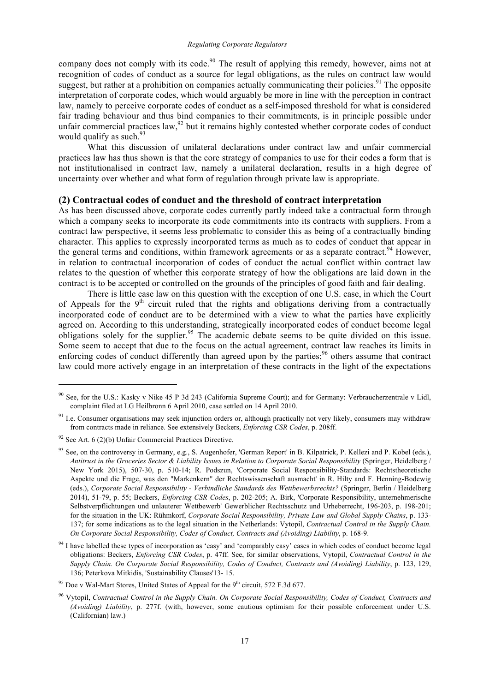company does not comply with its code.<sup>90</sup> The result of applying this remedy, however, aims not at recognition of codes of conduct as a source for legal obligations, as the rules on contract law would suggest, but rather at a prohibition on companies actually communicating their policies.<sup>91</sup> The opposite interpretation of corporate codes, which would arguably be more in line with the perception in contract law, namely to perceive corporate codes of conduct as a self-imposed threshold for what is considered fair trading behaviour and thus bind companies to their commitments, is in principle possible under unfair commercial practices law,  $92$  but it remains highly contested whether corporate codes of conduct would qualify as such. $93$ 

What this discussion of unilateral declarations under contract law and unfair commercial practices law has thus shown is that the core strategy of companies to use for their codes a form that is not institutionalised in contract law, namely a unilateral declaration, results in a high degree of uncertainty over whether and what form of regulation through private law is appropriate.

## **(2) Contractual codes of conduct and the threshold of contract interpretation**

As has been discussed above, corporate codes currently partly indeed take a contractual form through which a company seeks to incorporate its code commitments into its contracts with suppliers. From a contract law perspective, it seems less problematic to consider this as being of a contractually binding character. This applies to expressly incorporated terms as much as to codes of conduct that appear in the general terms and conditions, within framework agreements or as a separate contract.<sup>94</sup> However, in relation to contractual incorporation of codes of conduct the actual conflict within contract law relates to the question of whether this corporate strategy of how the obligations are laid down in the contract is to be accepted or controlled on the grounds of the principles of good faith and fair dealing.

There is little case law on this question with the exception of one U.S. case, in which the Court of Appeals for the  $9<sup>th</sup>$  circuit ruled that the rights and obligations deriving from a contractually incorporated code of conduct are to be determined with a view to what the parties have explicitly agreed on. According to this understanding, strategically incorporated codes of conduct become legal obligations solely for the supplier.<sup>95</sup> The academic debate seems to be quite divided on this issue. Some seem to accept that due to the focus on the actual agreement, contract law reaches its limits in enforcing codes of conduct differently than agreed upon by the parties; $96$  others assume that contract law could more actively engage in an interpretation of these contracts in the light of the expectations

<sup>&</sup>lt;sup>90</sup> See, for the U.S.: Kasky v Nike 45 P 3d 243 (California Supreme Court); and for Germany: Verbraucherzentrale v Lidl, complaint filed at LG Heilbronn 6 April 2010, case settled on 14 April 2010.

<sup>&</sup>lt;sup>91</sup> I.e. Consumer organisations may seek injunction orders or, although practically not very likely, consumers may withdraw from contracts made in reliance. See extensively Beckers, *Enforcing CSR Codes*, p. 208ff.

 $92$  See Art. 6 (2)(b) Unfair Commercial Practices Directive.

<sup>&</sup>lt;sup>93</sup> See, on the controversy in Germany, e.g., S. Augenhofer, 'German Report' in B. Kilpatrick, P. Kellezi and P. Kobel (eds.), *Antitrust in the Groceries Sector & Liability Issues in Relation to Corporate Social Responsibility* (Springer, Heidelberg / New York 2015), 507-30, p. 510-14; R. Podszun, 'Corporate Social Responsibility-Standards: Rechtstheoretische Aspekte und die Frage, was den "Markenkern" der Rechtswissenschaft ausmacht' in R. Hilty and F. Henning-Bodewig (eds.), *Corporate Social Responsibility - Verbindliche Standards des Wettbewerbsrechts?* (Springer, Berlin / Heidelberg 2014), 51-79, p. 55; Beckers, *Enforcing CSR Codes*, p. 202-205; A. Birk, 'Corporate Responsibility, unternehmerische Selbstverpflichtungen und unlauterer Wettbewerb' Gewerblicher Rechtsschutz und Urheberrecht, 196-203, p. 198-201; for the situation in the UK: Rühmkorf, *Corporate Social Responsibility, Private Law and Global Supply Chains*, p. 133- 137; for some indications as to the legal situation in the Netherlands: Vytopil, *Contractual Control in the Supply Chain. On Corporate Social Responsibility, Codes of Conduct, Contracts and (Avoiding) Liability*, p. 168-9.

<sup>&</sup>lt;sup>94</sup> I have labelled these types of incorporation as 'easy' and 'comparably easy' cases in which codes of conduct become legal obligations: Beckers, *Enforcing CSR Codes*, p. 47ff. See, for similar observations, Vytopil, *Contractual Control in the Supply Chain. On Corporate Social Responsibility, Codes of Conduct, Contracts and (Avoiding) Liability*, p. 123, 129, 136; Peterkova Mitkidis, 'Sustainability Clauses'13- 15.

 $95$  Doe v Wal-Mart Stores, United States of Appeal for the  $9<sup>th</sup>$  circuit, 572 F.3d 677.

<sup>96</sup> Vytopil, *Contractual Control in the Supply Chain. On Corporate Social Responsibility, Codes of Conduct, Contracts and (Avoiding) Liability*, p. 277f. (with, however, some cautious optimism for their possible enforcement under U.S. (Californian) law.)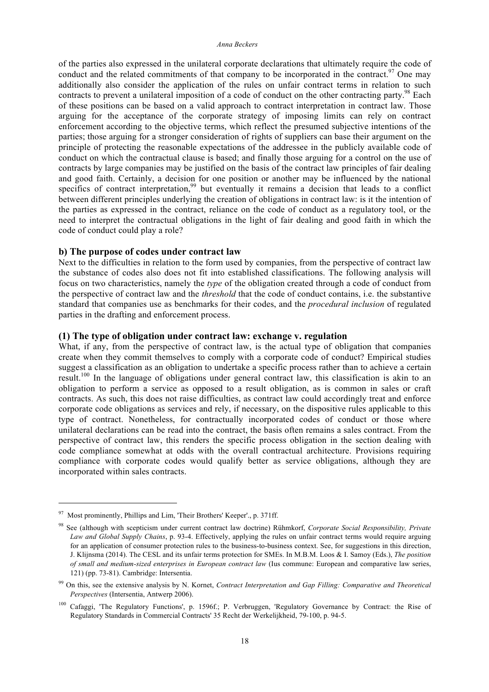#### *Anna Beckers*

of the parties also expressed in the unilateral corporate declarations that ultimately require the code of conduct and the related commitments of that company to be incorporated in the contract.<sup>97</sup> One may additionally also consider the application of the rules on unfair contract terms in relation to such contracts to prevent a unilateral imposition of a code of conduct on the other contracting party.<sup>98</sup> Each of these positions can be based on a valid approach to contract interpretation in contract law. Those arguing for the acceptance of the corporate strategy of imposing limits can rely on contract enforcement according to the objective terms, which reflect the presumed subjective intentions of the parties; those arguing for a stronger consideration of rights of suppliers can base their argument on the principle of protecting the reasonable expectations of the addressee in the publicly available code of conduct on which the contractual clause is based; and finally those arguing for a control on the use of contracts by large companies may be justified on the basis of the contract law principles of fair dealing and good faith. Certainly, a decision for one position or another may be influenced by the national specifics of contract interpretation,<sup>99</sup> but eventually it remains a decision that leads to a conflict between different principles underlying the creation of obligations in contract law: is it the intention of the parties as expressed in the contract, reliance on the code of conduct as a regulatory tool, or the need to interpret the contractual obligations in the light of fair dealing and good faith in which the code of conduct could play a role?

#### **b) The purpose of codes under contract law**

Next to the difficulties in relation to the form used by companies, from the perspective of contract law the substance of codes also does not fit into established classifications. The following analysis will focus on two characteristics, namely the *type* of the obligation created through a code of conduct from the perspective of contract law and the *threshold* that the code of conduct contains, i.e. the substantive standard that companies use as benchmarks for their codes, and the *procedural inclusion* of regulated parties in the drafting and enforcement process.

## **(1) The type of obligation under contract law: exchange v. regulation**

What, if any, from the perspective of contract law, is the actual type of obligation that companies create when they commit themselves to comply with a corporate code of conduct? Empirical studies suggest a classification as an obligation to undertake a specific process rather than to achieve a certain result.<sup>100</sup> In the language of obligations under general contract law, this classification is akin to an obligation to perform a service as opposed to a result obligation, as is common in sales or craft contracts. As such, this does not raise difficulties, as contract law could accordingly treat and enforce corporate code obligations as services and rely, if necessary, on the dispositive rules applicable to this type of contract. Nonetheless, for contractually incorporated codes of conduct or those where unilateral declarations can be read into the contract, the basis often remains a sales contract. From the perspective of contract law, this renders the specific process obligation in the section dealing with code compliance somewhat at odds with the overall contractual architecture. Provisions requiring compliance with corporate codes would qualify better as service obligations, although they are incorporated within sales contracts.

 $97$  Most prominently, Phillips and Lim, 'Their Brothers' Keeper'., p. 371ff.

<sup>98</sup> See (although with scepticism under current contract law doctrine) Rühmkorf, *Corporate Social Responsibility, Private Law and Global Supply Chains*, p. 93-4. Effectively, applying the rules on unfair contract terms would require arguing for an application of consumer protection rules to the business-to-business context. See, for suggestions in this direction, J. Klijnsma (2014). The CESL and its unfair terms protection for SMEs. In M.B.M. Loos & I. Samoy (Eds.), *The position of small and medium-sized enterprises in European contract law* (Ius commune: European and comparative law series, 121) (pp. 73-81). Cambridge: Intersentia.

<sup>99</sup> On this, see the extensive analysis by N. Kornet, *Contract Interpretation and Gap Filling: Comparative and Theoretical Perspectives* (Intersentia, Antwerp 2006).

<sup>100</sup> Cafaggi, 'The Regulatory Functions', p. 1596f.; P. Verbruggen, 'Regulatory Governance by Contract: the Rise of Regulatory Standards in Commercial Contracts' 35 Recht der Werkelijkheid, 79-100, p. 94-5.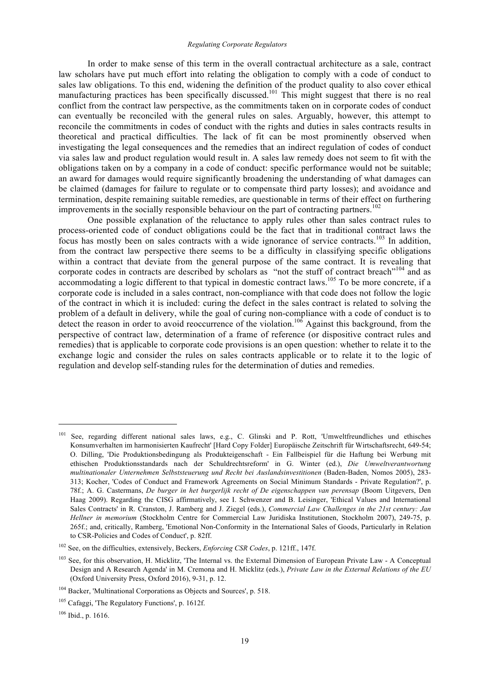#### *Regulating Corporate Regulators*

In order to make sense of this term in the overall contractual architecture as a sale, contract law scholars have put much effort into relating the obligation to comply with a code of conduct to sales law obligations. To this end, widening the definition of the product quality to also cover ethical manufacturing practices has been specifically discussed.<sup>101</sup> This might suggest that there is no real conflict from the contract law perspective, as the commitments taken on in corporate codes of conduct can eventually be reconciled with the general rules on sales. Arguably, however, this attempt to reconcile the commitments in codes of conduct with the rights and duties in sales contracts results in theoretical and practical difficulties. The lack of fit can be most prominently observed when investigating the legal consequences and the remedies that an indirect regulation of codes of conduct via sales law and product regulation would result in. A sales law remedy does not seem to fit with the obligations taken on by a company in a code of conduct: specific performance would not be suitable; an award for damages would require significantly broadening the understanding of what damages can be claimed (damages for failure to regulate or to compensate third party losses); and avoidance and termination, despite remaining suitable remedies, are questionable in terms of their effect on furthering improvements in the socially responsible behaviour on the part of contracting partners.<sup>102</sup>

One possible explanation of the reluctance to apply rules other than sales contract rules to process-oriented code of conduct obligations could be the fact that in traditional contract laws the focus has mostly been on sales contracts with a wide ignorance of service contracts.<sup>103</sup> In addition, from the contract law perspective there seems to be a difficulty in classifying specific obligations within a contract that deviate from the general purpose of the same contract. It is revealing that corporate codes in contracts are described by scholars as "not the stuff of contract breach"<sup>104</sup> and as accommodating a logic different to that typical in domestic contract laws.<sup>105</sup> To be more concrete, if a corporate code is included in a sales contract, non-compliance with that code does not follow the logic of the contract in which it is included: curing the defect in the sales contract is related to solving the problem of a default in delivery, while the goal of curing non-compliance with a code of conduct is to detect the reason in order to avoid reoccurrence of the violation.<sup>106</sup> Against this background, from the perspective of contract law, determination of a frame of reference (or dispositive contract rules and remedies) that is applicable to corporate code provisions is an open question: whether to relate it to the exchange logic and consider the rules on sales contracts applicable or to relate it to the logic of regulation and develop self-standing rules for the determination of duties and remedies.

<sup>101</sup> See, regarding different national sales laws, e.g., C. Glinski and P. Rott, 'Umweltfreundliches und ethisches Konsumverhalten im harmonisierten Kaufrecht' [Hard Copy Folder] Europäische Zeitschrift für Wirtschaftsrecht, 649-54; O. Dilling, 'Die Produktionsbedingung als Produkteigenschaft - Ein Fallbeispiel für die Haftung bei Werbung mit ethischen Produktionsstandards nach der Schuldrechtsreform' in G. Winter (ed.), *Die Umweltverantwortung multinationaler Unternehmen Selbststeuerung und Recht bei Auslandsinvestitionen* (Baden-Baden, Nomos 2005), 283- 313; Kocher, 'Codes of Conduct and Framework Agreements on Social Minimum Standards - Private Regulation?', p. 78f.; A. G. Castermans, *De burger in het burgerlijk recht of De eigenschappen van perensap* (Boom Uitgevers, Den Haag 2009). Regarding the CISG affirmatively, see I. Schwenzer and B. Leisinger, 'Ethical Values and International Sales Contracts' in R. Cranston, J. Ramberg and J. Ziegel (eds.), *Commercial Law Challenges in the 21st century: Jan Hellner in memorium* (Stockholm Centre for Commercial Law Juridiska Institutionen, Stockholm 2007), 249-75, p. 265f.; and, critically, Ramberg, 'Emotional Non-Conformity in the International Sales of Goods, Particularly in Relation to CSR-Policies and Codes of Conduct', p. 82ff.

<sup>102</sup> See, on the difficulties, extensively, Beckers, *Enforcing CSR Codes*, p. 121ff., 147f.

<sup>&</sup>lt;sup>103</sup> See, for this observation, H. Micklitz, 'The Internal vs. the External Dimension of European Private Law - A Conceptual Design and A Research Agenda' in M. Cremona and H. Micklitz (eds.), *Private Law in the External Relations of the EU* (Oxford University Press, Oxford 2016), 9-31, p. 12.

<sup>104</sup> Backer, 'Multinational Corporations as Objects and Sources', p. 518.

<sup>&</sup>lt;sup>105</sup> Cafaggi, 'The Regulatory Functions', p. 1612f.

<sup>106</sup> Ibid., p. 1616.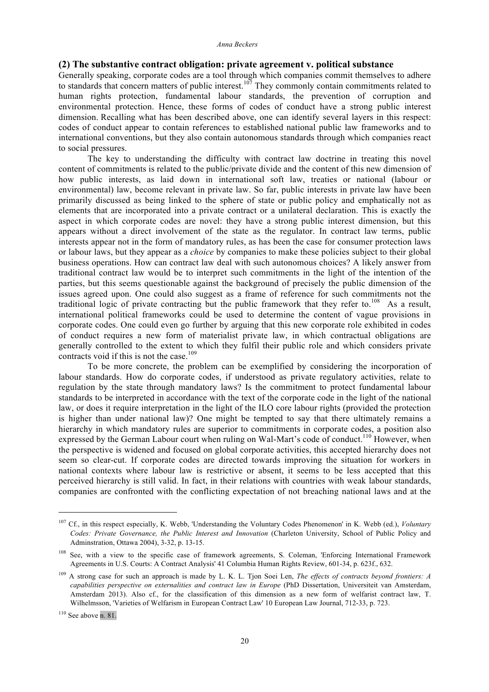# **(2) The substantive contract obligation: private agreement v. political substance**

Generally speaking, corporate codes are a tool through which companies commit themselves to adhere to standards that concern matters of public interest.<sup>107</sup> They commonly contain commitments related to human rights protection, fundamental labour standards, the prevention of corruption and environmental protection. Hence, these forms of codes of conduct have a strong public interest dimension. Recalling what has been described above, one can identify several layers in this respect: codes of conduct appear to contain references to established national public law frameworks and to international conventions, but they also contain autonomous standards through which companies react to social pressures.

The key to understanding the difficulty with contract law doctrine in treating this novel content of commitments is related to the public/private divide and the content of this new dimension of how public interests, as laid down in international soft law, treaties or national (labour or environmental) law, become relevant in private law. So far, public interests in private law have been primarily discussed as being linked to the sphere of state or public policy and emphatically not as elements that are incorporated into a private contract or a unilateral declaration. This is exactly the aspect in which corporate codes are novel: they have a strong public interest dimension, but this appears without a direct involvement of the state as the regulator. In contract law terms, public interests appear not in the form of mandatory rules, as has been the case for consumer protection laws or labour laws, but they appear as a *choice* by companies to make these policies subject to their global business operations. How can contract law deal with such autonomous choices? A likely answer from traditional contract law would be to interpret such commitments in the light of the intention of the parties, but this seems questionable against the background of precisely the public dimension of the issues agreed upon. One could also suggest as a frame of reference for such commitments not the traditional logic of private contracting but the public framework that they refer to.<sup>108</sup> As a result, international political frameworks could be used to determine the content of vague provisions in corporate codes. One could even go further by arguing that this new corporate role exhibited in codes of conduct requires a new form of materialist private law, in which contractual obligations are generally controlled to the extent to which they fulfil their public role and which considers private contracts void if this is not the case.<sup>109</sup>

To be more concrete, the problem can be exemplified by considering the incorporation of labour standards. How do corporate codes, if understood as private regulatory activities, relate to regulation by the state through mandatory laws? Is the commitment to protect fundamental labour standards to be interpreted in accordance with the text of the corporate code in the light of the national law, or does it require interpretation in the light of the ILO core labour rights (provided the protection is higher than under national law)? One might be tempted to say that there ultimately remains a hierarchy in which mandatory rules are superior to commitments in corporate codes, a position also expressed by the German Labour court when ruling on Wal-Mart's code of conduct.<sup>110</sup> However, when the perspective is widened and focused on global corporate activities, this accepted hierarchy does not seem so clear-cut. If corporate codes are directed towards improving the situation for workers in national contexts where labour law is restrictive or absent, it seems to be less accepted that this perceived hierarchy is still valid. In fact, in their relations with countries with weak labour standards, companies are confronted with the conflicting expectation of not breaching national laws and at the

<sup>107</sup> Cf., in this respect especially, K. Webb, 'Understanding the Voluntary Codes Phenomenon' in K. Webb (ed.), *Voluntary Codes: Private Governance, the Public Interest and Innovation* (Charleton University, School of Public Policy and Adminstration, Ottawa 2004), 3-32, p. 13-15.

<sup>&</sup>lt;sup>108</sup> See, with a view to the specific case of framework agreements, S. Coleman, 'Enforcing International Framework Agreements in U.S. Courts: A Contract Analysis' 41 Columbia Human Rights Review, 601-34, p. 623f., 632.

<sup>109</sup> A strong case for such an approach is made by L. K. L. Tjon Soei Len, *The effects of contracts beyond frontiers: A capabilities perspective on externalities and contract law in Europe* (PhD Dissertation, Universiteit van Amsterdam, Amsterdam 2013). Also cf., for the classification of this dimension as a new form of welfarist contract law, T. Wilhelmsson, 'Varieties of Welfarism in European Contract Law' 10 European Law Journal, 712-33, p. 723.

 $110$  See above n. 81.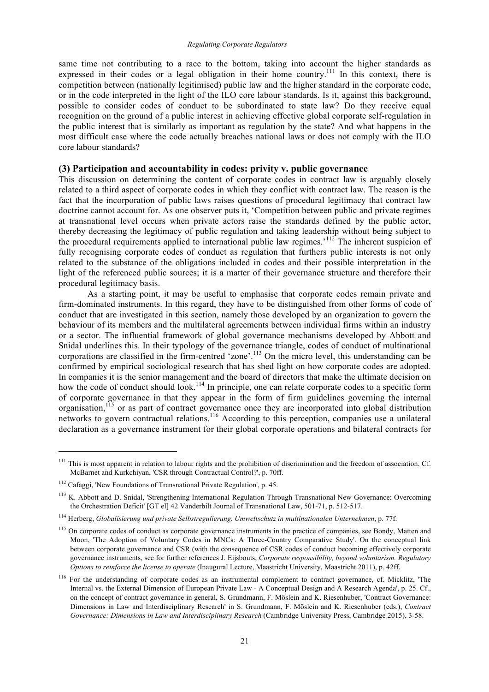same time not contributing to a race to the bottom, taking into account the higher standards as expressed in their codes or a legal obligation in their home country.<sup>111</sup> In this context, there is competition between (nationally legitimised) public law and the higher standard in the corporate code, or in the code interpreted in the light of the ILO core labour standards. Is it, against this background, possible to consider codes of conduct to be subordinated to state law? Do they receive equal recognition on the ground of a public interest in achieving effective global corporate self-regulation in the public interest that is similarly as important as regulation by the state? And what happens in the most difficult case where the code actually breaches national laws or does not comply with the ILO core labour standards?

# **(3) Participation and accountability in codes: privity v. public governance**

This discussion on determining the content of corporate codes in contract law is arguably closely related to a third aspect of corporate codes in which they conflict with contract law. The reason is the fact that the incorporation of public laws raises questions of procedural legitimacy that contract law doctrine cannot account for. As one observer puts it, 'Competition between public and private regimes at transnational level occurs when private actors raise the standards defined by the public actor, thereby decreasing the legitimacy of public regulation and taking leadership without being subject to the procedural requirements applied to international public law regimes.<sup>'112</sup> The inherent suspicion of fully recognising corporate codes of conduct as regulation that furthers public interests is not only related to the substance of the obligations included in codes and their possible interpretation in the light of the referenced public sources; it is a matter of their governance structure and therefore their procedural legitimacy basis.

As a starting point, it may be useful to emphasise that corporate codes remain private and firm-dominated instruments. In this regard, they have to be distinguished from other forms of code of conduct that are investigated in this section, namely those developed by an organization to govern the behaviour of its members and the multilateral agreements between individual firms within an industry or a sector. The influential framework of global governance mechanisms developed by Abbott and Snidal underlines this. In their typology of the governance triangle, codes of conduct of multinational corporations are classified in the firm-centred 'zone'.<sup>113</sup> On the micro level, this understanding can be confirmed by empirical sociological research that has shed light on how corporate codes are adopted. In companies it is the senior management and the board of directors that make the ultimate decision on how the code of conduct should look.<sup>114</sup> In principle, one can relate corporate codes to a specific form of corporate governance in that they appear in the form of firm guidelines governing the internal organisation,<sup>115</sup> or as part of contract governance once they are incorporated into global distribution networks to govern contractual relations.<sup>116</sup> According to this perception, companies use a unilateral declaration as a governance instrument for their global corporate operations and bilateral contracts for

<sup>&</sup>lt;sup>111</sup> This is most apparent in relation to labour rights and the prohibition of discrimination and the freedom of association. Cf. McBarnet and Kurkchiyan, 'CSR through Contractual Control?', p. 70ff.

<sup>112</sup> Cafaggi, 'New Foundations of Transnational Private Regulation', p. 45.

<sup>&</sup>lt;sup>113</sup> K. Abbott and D. Snidal, 'Strengthening International Regulation Through Transnational New Governance: Overcoming the Orchestration Deficit' [GT el] 42 Vanderbilt Journal of Transnational Law, 501-71, p. 512-517.

<sup>114</sup> Herberg, *Globalisierung und private Selbstregulierung. Umweltschutz in multinationalen Unternehmen*, p. 77f.

<sup>&</sup>lt;sup>115</sup> On corporate codes of conduct as corporate governance instruments in the practice of companies, see Bondy, Matten and Moon, 'The Adoption of Voluntary Codes in MNCs: A Three-Country Comparative Study'. On the conceptual link between corporate governance and CSR (with the consequence of CSR codes of conduct becoming effectively corporate governance instruments, see for further references J. Eijsbouts, *Corporate responsibility, beyond voluntarism. Regulatory Options to reinforce the license to operate* (Inaugural Lecture, Maastricht University, Maastricht 2011), p. 42ff.

<sup>&</sup>lt;sup>116</sup> For the understanding of corporate codes as an instrumental complement to contract governance, cf. Micklitz, 'The Internal vs. the External Dimension of European Private Law - A Conceptual Design and A Research Agenda', p. 25. Cf., on the concept of contract governance in general, S. Grundmann, F. Möslein and K. Riesenhuber, 'Contract Governance: Dimensions in Law and Interdisciplinary Research' in S. Grundmann, F. Möslein and K. Riesenhuber (eds.), *Contract Governance: Dimensions in Law and Interdisciplinary Research* (Cambridge University Press, Cambridge 2015), 3-58.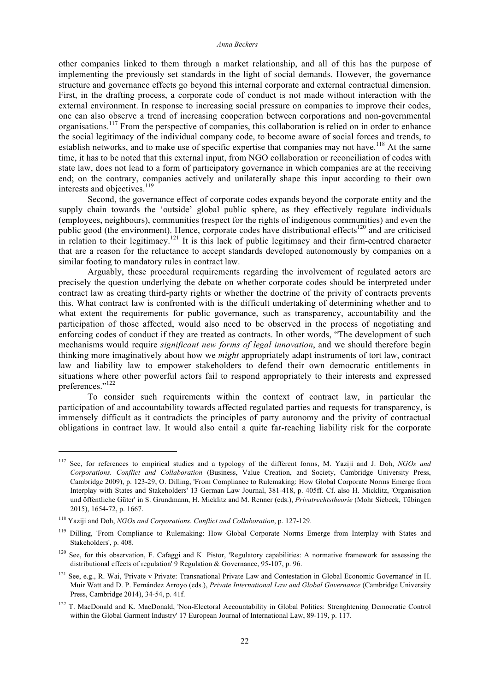other companies linked to them through a market relationship, and all of this has the purpose of implementing the previously set standards in the light of social demands. However, the governance structure and governance effects go beyond this internal corporate and external contractual dimension. First, in the drafting process, a corporate code of conduct is not made without interaction with the external environment. In response to increasing social pressure on companies to improve their codes, one can also observe a trend of increasing cooperation between corporations and non-governmental organisations.<sup>117</sup> From the perspective of companies, this collaboration is relied on in order to enhance the social legitimacy of the individual company code, to become aware of social forces and trends, to establish networks, and to make use of specific expertise that companies may not have.<sup>118</sup> At the same time, it has to be noted that this external input, from NGO collaboration or reconciliation of codes with state law, does not lead to a form of participatory governance in which companies are at the receiving end; on the contrary, companies actively and unilaterally shape this input according to their own interests and objectives.<sup>119</sup>

Second, the governance effect of corporate codes expands beyond the corporate entity and the supply chain towards the 'outside' global public sphere, as they effectively regulate individuals (employees, neighbours), communities (respect for the rights of indigenous communities) and even the public good (the environment). Hence, corporate codes have distributional effects<sup>120</sup> and are criticised in relation to their legitimacy.<sup>121</sup> It is this lack of public legitimacy and their firm-centred character that are a reason for the reluctance to accept standards developed autonomously by companies on a similar footing to mandatory rules in contract law.

Arguably, these procedural requirements regarding the involvement of regulated actors are precisely the question underlying the debate on whether corporate codes should be interpreted under contract law as creating third-party rights or whether the doctrine of the privity of contracts prevents this. What contract law is confronted with is the difficult undertaking of determining whether and to what extent the requirements for public governance, such as transparency, accountability and the participation of those affected, would also need to be observed in the process of negotiating and enforcing codes of conduct if they are treated as contracts. In other words, "The development of such mechanisms would require *significant new forms of legal innovation*, and we should therefore begin thinking more imaginatively about how we *might* appropriately adapt instruments of tort law, contract law and liability law to empower stakeholders to defend their own democratic entitlements in situations where other powerful actors fail to respond appropriately to their interests and expressed preferences."<sup>122</sup>

To consider such requirements within the context of contract law, in particular the participation of and accountability towards affected regulated parties and requests for transparency, is immensely difficult as it contradicts the principles of party autonomy and the privity of contractual obligations in contract law. It would also entail a quite far-reaching liability risk for the corporate

<sup>117</sup> See, for references to empirical studies and a typology of the different forms, M. Yaziji and J. Doh, *NGOs and Corporations. Conflict and Collaboration* (Business, Value Creation, and Society, Cambridge University Press, Cambridge 2009), p. 123-29; O. Dilling, 'From Compliance to Rulemaking: How Global Corporate Norms Emerge from Interplay with States and Stakeholders' 13 German Law Journal, 381-418, p. 405ff. Cf. also H. Micklitz, 'Organisation und öffentliche Güter' in S. Grundmann, H. Micklitz and M. Renner (eds.), *Privatrechtstheorie* (Mohr Siebeck, Tübingen 2015), 1654-72, p. 1667.

<sup>118</sup> Yaziji and Doh, *NGOs and Corporations. Conflict and Collaboration*, p. 127-129.

<sup>&</sup>lt;sup>119</sup> Dilling, 'From Compliance to Rulemaking: How Global Corporate Norms Emerge from Interplay with States and Stakeholders', p. 408.

 $120$  See, for this observation, F. Cafaggi and K. Pistor, 'Regulatory capabilities: A normative framework for assessing the distributional effects of regulation' 9 Regulation & Governance, 95-107, p. 96.

<sup>&</sup>lt;sup>121</sup> See, e.g., R. Wai, 'Private v Private: Transnational Private Law and Contestation in Global Economic Governance' in H. Muir Watt and D. P. Fernández Arroyo (eds.), *Private International Law and Global Governance* (Cambridge University Press, Cambridge 2014), 34-54, p. 41f.

<sup>&</sup>lt;sup>122</sup> T. MacDonald and K. MacDonald, 'Non-Electoral Accountability in Global Politics: Strenghtening Democratic Control within the Global Garment Industry' 17 European Journal of International Law, 89-119, p. 117.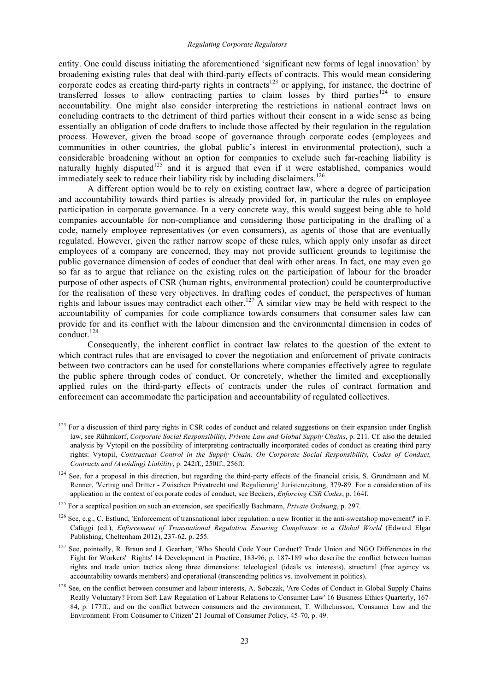entity. One could discuss initiating the aforementioned 'significant new forms of legal innovation' by broadening existing rules that deal with third-party effects of contracts. This would mean considering corporate codes as creating third-party rights in contracts<sup>123</sup> or applying, for instance, the doctrine of transferred losses to allow contracting parties to claim losses by third parties<sup>124</sup> to ensure accountability. One might also consider interpreting the restrictions in national contract laws on concluding contracts to the detriment of third parties without their consent in a wide sense as being essentially an obligation of code drafters to include those affected by their regulation in the regulation process. However, given the broad scope of governance through corporate codes (employees and communities in other countries, the global public's interest in environmental protection), such a considerable broadening without an option for companies to exclude such far-reaching liability is naturally highly disputed<sup>125</sup> and it is argued that even if it were established, companies would immediately seek to reduce their liability risk by including disclaimers.<sup>126</sup>

A different option would be to rely on existing contract law, where a degree of participation and accountability towards third parties is already provided for, in particular the rules on employee participation in corporate governance. In a very concrete way, this would suggest being able to hold companies accountable for non-compliance and considering those participating in the drafting of a code, namely employee representatives (or even consumers), as agents of those that are eventually regulated. However, given the rather narrow scope of these rules, which apply only insofar as direct employees of a company are concerned, they may not provide sufficient grounds to legitimise the public governance dimension of codes of conduct that deal with other areas. In fact, one may even go so far as to argue that reliance on the existing rules on the participation of labour for the broader purpose of other aspects of CSR (human rights, environmental protection) could be counterproductive for the realisation of these very objectives. In drafting codes of conduct, the perspectives of human rights and labour issues may contradict each other.<sup>127</sup> A similar view may be held with respect to the accountability of companies for code compliance towards consumers that consumer sales law can provide for and its conflict with the labour dimension and the environmental dimension in codes of conduct. $128$ 

Consequently, the inherent conflict in contract law relates to the question of the extent to which contract rules that are envisaged to cover the negotiation and enforcement of private contracts between two contractors can be used for constellations where companies effectively agree to regulate the public sphere through codes of conduct. Or concretely, whether the limited and exceptionally applied rules on the third-party effects of contracts under the rules of contract formation and enforcement can accommodate the participation and accountability of regulated collectives.

<sup>&</sup>lt;sup>123</sup> For a discussion of third party rights in CSR codes of conduct and related suggestions on their expansion under English law, see Rühmkorf, *Corporate Social Responsibility, Private Law and Global Supply Chains*, p. 211. Cf. also the detailed analysis by Vytopil on the possibility of interpreting contractually incorporated codes of conduct as creating third party rights: Vytopil, *Contractual Control in the Supply Chain. On Corporate Social Responsibility, Codes of Conduct, Contracts and (Avoiding) Liability*, p. 242ff., 250ff., 256ff.

<sup>&</sup>lt;sup>124</sup> See, for a proposal in this direction, but regarding the third-party effects of the financial crisis, S. Grundmann and M. Renner, 'Vertrag und Dritter - Zwischen Privatrecht und Regulierung' Juristenzeitung, 379-89. For a consideration of its application in the context of corporate codes of conduct, see Beckers, *Enforcing CSR Codes*, p. 164f.

<sup>125</sup> For a sceptical position on such an extension, see specifically Bachmann, *Private Ordnung*, p. 297.

<sup>126</sup> See, e.g., C. Estlund, 'Enforcement of transnational labor regulation: a new frontier in the anti-sweatshop movement?' in F. Cafaggi (ed.), *Enforcement of Transnational Regulation Ensuring Compliance in a Global World* (Edward Elgar Publishing, Cheltenham 2012), 237-62, p. 255.

<sup>&</sup>lt;sup>127</sup> See, pointedly, R. Braun and J. Gearhart, 'Who Should Code Your Conduct? Trade Union and NGO Differences in the Fight for Workers' Rights' 14 Development in Practice, 183-96, p. 187-189 who describe the conflict between human rights and trade union tactics along three dimensions: teleological (ideals vs. interests), structural (free agency vs. accountability towards members) and operational (transcending politics vs. involvement in politics).

<sup>&</sup>lt;sup>128</sup> See, on the conflict between consumer and labour interests, A. Sobczak, 'Are Codes of Conduct in Global Supply Chains Really Voluntary? From Soft Law Regulation of Labour Relations to Consumer Law' 16 Business Ethics Quarterly, 167- 84, p. 177ff., and on the conflict between consumers and the environment, T. Wilhelmsson, 'Consumer Law and the Environment: From Consumer to Citizen' 21 Journal of Consumer Policy, 45-70, p. 49.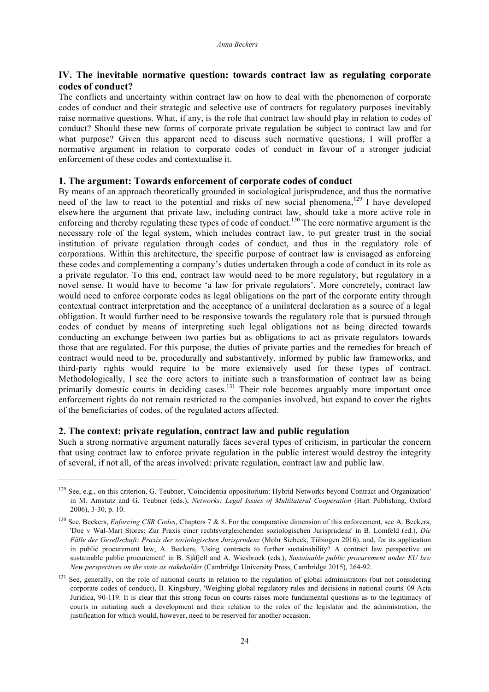# **IV. The inevitable normative question: towards contract law as regulating corporate codes of conduct?**

The conflicts and uncertainty within contract law on how to deal with the phenomenon of corporate codes of conduct and their strategic and selective use of contracts for regulatory purposes inevitably raise normative questions. What, if any, is the role that contract law should play in relation to codes of conduct? Should these new forms of corporate private regulation be subject to contract law and for what purpose? Given this apparent need to discuss such normative questions, I will proffer a normative argument in relation to corporate codes of conduct in favour of a stronger judicial enforcement of these codes and contextualise it.

# **1. The argument: Towards enforcement of corporate codes of conduct**

By means of an approach theoretically grounded in sociological jurisprudence, and thus the normative need of the law to react to the potential and risks of new social phenomena,<sup>129</sup> I have developed elsewhere the argument that private law, including contract law, should take a more active role in enforcing and thereby regulating these types of code of conduct.<sup>130</sup> The core normative argument is the necessary role of the legal system, which includes contract law, to put greater trust in the social institution of private regulation through codes of conduct, and thus in the regulatory role of corporations. Within this architecture, the specific purpose of contract law is envisaged as enforcing these codes and complementing a company's duties undertaken through a code of conduct in its role as a private regulator. To this end, contract law would need to be more regulatory, but regulatory in a novel sense. It would have to become 'a law for private regulators'. More concretely, contract law would need to enforce corporate codes as legal obligations on the part of the corporate entity through contextual contract interpretation and the acceptance of a unilateral declaration as a source of a legal obligation. It would further need to be responsive towards the regulatory role that is pursued through codes of conduct by means of interpreting such legal obligations not as being directed towards conducting an exchange between two parties but as obligations to act as private regulators towards those that are regulated. For this purpose, the duties of private parties and the remedies for breach of contract would need to be, procedurally and substantively, informed by public law frameworks, and third-party rights would require to be more extensively used for these types of contract. Methodologically, I see the core actors to initiate such a transformation of contract law as being primarily domestic courts in deciding cases.<sup>131</sup> Their role becomes arguably more important once enforcement rights do not remain restricted to the companies involved, but expand to cover the rights of the beneficiaries of codes, of the regulated actors affected.

# **2. The context: private regulation, contract law and public regulation**

1

Such a strong normative argument naturally faces several types of criticism, in particular the concern that using contract law to enforce private regulation in the public interest would destroy the integrity of several, if not all, of the areas involved: private regulation, contract law and public law.

<sup>129</sup> See, e.g., on this criterion, G. Teubner, 'Coincidentia oppositorium: Hybrid Networks beyond Contract and Organization' in M. Amstutz and G. Teubner (eds.), *Networks: Legal Issues of Multilateral Cooperation* (Hart Publishing, Oxford 2006), 3-30, p. 10.

<sup>130</sup> See, Beckers, *Enforcing CSR Codes*, Chapters 7 & 8. For the comparative dimension of this enforcement, see A. Beckers, 'Doe v Wal-Mart Stores: Zur Praxis einer rechtsvergleichenden soziologischen Jurisprudenz' in B. Lomfeld (ed.), *Die Fälle der Gesellschaft: Praxis der soziologischen Jurisprudenz* (Mohr Siebeck, Tübingen 2016), and, for its application in public procurement law, A. Beckers, 'Using contracts to further sustainability? A contract law perspective on sustainable public procurement' in B. Sjåfjell and A. Wiesbrock (eds.), *Sustainable public procurement under EU law New perspectives on the state as stakeholder* (Cambridge University Press, Cambridge 2015), 264-92.

<sup>&</sup>lt;sup>131</sup> See, generally, on the role of national courts in relation to the regulation of global administrators (but not considering corporate codes of conduct), B. Kingsbury, 'Weighing global regulatory rules and decisions in national courts' 09 Acta Juridica, 90-119. It is clear that this strong focus on courts raises more fundamental questions as to the legitimacy of courts in initiating such a development and their relation to the roles of the legislator and the administration, the justification for which would, however, need to be reserved for another occasion.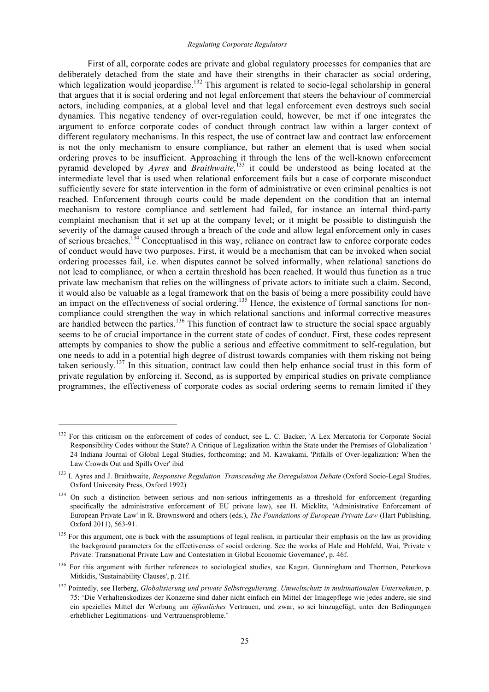#### *Regulating Corporate Regulators*

First of all, corporate codes are private and global regulatory processes for companies that are deliberately detached from the state and have their strengths in their character as social ordering, which legalization would jeopardise.<sup>132</sup> This argument is related to socio-legal scholarship in general that argues that it is social ordering and not legal enforcement that steers the behaviour of commercial actors, including companies, at a global level and that legal enforcement even destroys such social dynamics. This negative tendency of over-regulation could, however, be met if one integrates the argument to enforce corporate codes of conduct through contract law within a larger context of different regulatory mechanisms. In this respect, the use of contract law and contract law enforcement is not the only mechanism to ensure compliance, but rather an element that is used when social ordering proves to be insufficient. Approaching it through the lens of the well-known enforcement pyramid developed by *Ayres* and *Braithwaite,*<sup>133</sup> it could be understood as being located at the intermediate level that is used when relational enforcement fails but a case of corporate misconduct sufficiently severe for state intervention in the form of administrative or even criminal penalties is not reached. Enforcement through courts could be made dependent on the condition that an internal mechanism to restore compliance and settlement had failed, for instance an internal third-party complaint mechanism that it set up at the company level; or it might be possible to distinguish the severity of the damage caused through a breach of the code and allow legal enforcement only in cases of serious breaches.<sup>134</sup> Conceptualised in this way, reliance on contract law to enforce corporate codes of conduct would have two purposes. First, it would be a mechanism that can be invoked when social ordering processes fail, i.e. when disputes cannot be solved informally, when relational sanctions do not lead to compliance, or when a certain threshold has been reached. It would thus function as a true private law mechanism that relies on the willingness of private actors to initiate such a claim. Second, it would also be valuable as a legal framework that on the basis of being a mere possibility could have an impact on the effectiveness of social ordering.<sup>135</sup> Hence, the existence of formal sanctions for noncompliance could strengthen the way in which relational sanctions and informal corrective measures are handled between the parties.<sup>136</sup> This function of contract law to structure the social space arguably seems to be of crucial importance in the current state of codes of conduct. First, these codes represent attempts by companies to show the public a serious and effective commitment to self-regulation, but one needs to add in a potential high degree of distrust towards companies with them risking not being taken seriously.<sup>137</sup> In this situation, contract law could then help enhance social trust in this form of private regulation by enforcing it. Second, as is supported by empirical studies on private compliance programmes, the effectiveness of corporate codes as social ordering seems to remain limited if they

<sup>&</sup>lt;sup>132</sup> For this criticism on the enforcement of codes of conduct, see L. C. Backer, 'A Lex Mercatoria for Corporate Social Responsibility Codes without the State? A Critique of Legalization within the State under the Premises of Globalization ' 24 Indiana Journal of Global Legal Studies, forthcoming; and M. Kawakami, 'Pitfalls of Over-legalization: When the Law Crowds Out and Spills Over' ibid

<sup>&</sup>lt;sup>133</sup> I. Ayres and J. Braithwaite, *Responsive Regulation. Transcending the Deregulation Debate* (Oxford Socio-Legal Studies, Oxford University Press, Oxford 1992)

<sup>&</sup>lt;sup>134</sup> On such a distinction between serious and non-serious infringements as a threshold for enforcement (regarding specifically the administrative enforcement of EU private law), see H. Micklitz, 'Administrative Enforcement of European Private Law' in R. Brownsword and others (eds.), *The Foundations of European Private Law* (Hart Publishing, Oxford 2011), 563-91.

<sup>&</sup>lt;sup>135</sup> For this argument, one is back with the assumptions of legal realism, in particular their emphasis on the law as providing the background parameters for the effectiveness of social ordering. See the works of Hale and Hohfeld, Wai, 'Private v Private: Transnational Private Law and Contestation in Global Economic Governance', p. 46f.

<sup>&</sup>lt;sup>136</sup> For this argument with further references to sociological studies, see Kagan, Gunningham and Thortnon, Peterkova Mitkidis, 'Sustainability Clauses', p. 21f.

<sup>137</sup> Pointedly, see Herberg, *Globalisierung und private Selbstregulierung. Umweltschutz in multinationalen Unternehmen*, p. 75: 'Die Verhaltenskodizes der Konzerne sind daher nicht einfach ein Mittel der Imagepflege wie jedes andere, sie sind ein spezielles Mittel der Werbung um *öffentliches* Vertrauen, und zwar, so sei hinzugefügt, unter den Bedingungen erheblicher Legitimations- und Vertrauensprobleme.'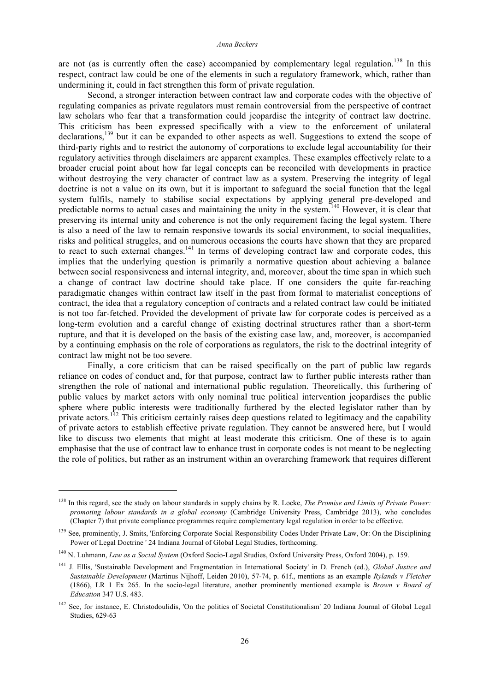are not (as is currently often the case) accompanied by complementary legal regulation.<sup>138</sup> In this respect, contract law could be one of the elements in such a regulatory framework, which, rather than undermining it, could in fact strengthen this form of private regulation.

Second, a stronger interaction between contract law and corporate codes with the objective of regulating companies as private regulators must remain controversial from the perspective of contract law scholars who fear that a transformation could jeopardise the integrity of contract law doctrine. This criticism has been expressed specifically with a view to the enforcement of unilateral declarations,<sup>139</sup> but it can be expanded to other aspects as well. Suggestions to extend the scope of third-party rights and to restrict the autonomy of corporations to exclude legal accountability for their regulatory activities through disclaimers are apparent examples. These examples effectively relate to a broader crucial point about how far legal concepts can be reconciled with developments in practice without destroying the very character of contract law as a system. Preserving the integrity of legal doctrine is not a value on its own, but it is important to safeguard the social function that the legal system fulfils, namely to stabilise social expectations by applying general pre-developed and predictable norms to actual cases and maintaining the unity in the system.<sup>140</sup> However, it is clear that preserving its internal unity and coherence is not the only requirement facing the legal system. There is also a need of the law to remain responsive towards its social environment, to social inequalities, risks and political struggles, and on numerous occasions the courts have shown that they are prepared to react to such external changes.<sup>141</sup> In terms of developing contract law and corporate codes, this implies that the underlying question is primarily a normative question about achieving a balance between social responsiveness and internal integrity, and, moreover, about the time span in which such a change of contract law doctrine should take place. If one considers the quite far-reaching paradigmatic changes within contract law itself in the past from formal to materialist conceptions of contract, the idea that a regulatory conception of contracts and a related contract law could be initiated is not too far-fetched. Provided the development of private law for corporate codes is perceived as a long-term evolution and a careful change of existing doctrinal structures rather than a short-term rupture, and that it is developed on the basis of the existing case law, and, moreover, is accompanied by a continuing emphasis on the role of corporations as regulators, the risk to the doctrinal integrity of contract law might not be too severe.

Finally, a core criticism that can be raised specifically on the part of public law regards reliance on codes of conduct and, for that purpose, contract law to further public interests rather than strengthen the role of national and international public regulation. Theoretically, this furthering of public values by market actors with only nominal true political intervention jeopardises the public sphere where public interests were traditionally furthered by the elected legislator rather than by private actors.<sup>142</sup> This criticism certainly raises deep questions related to legitimacy and the capability of private actors to establish effective private regulation. They cannot be answered here, but I would like to discuss two elements that might at least moderate this criticism. One of these is to again emphasise that the use of contract law to enhance trust in corporate codes is not meant to be neglecting the role of politics, but rather as an instrument within an overarching framework that requires different

<sup>&</sup>lt;sup>138</sup> In this regard, see the study on labour standards in supply chains by R. Locke, *The Promise and Limits of Private Power*: *promoting labour standards in a global economy* (Cambridge University Press, Cambridge 2013), who concludes (Chapter 7) that private compliance programmes require complementary legal regulation in order to be effective.

<sup>&</sup>lt;sup>139</sup> See, prominently, J. Smits, 'Enforcing Corporate Social Responsibility Codes Under Private Law, Or: On the Disciplining Power of Legal Doctrine ' 24 Indiana Journal of Global Legal Studies, forthcoming.

<sup>140</sup> N. Luhmann, *Law as a Social System* (Oxford Socio-Legal Studies, Oxford University Press, Oxford 2004), p. 159.

<sup>141</sup> J. Ellis, 'Sustainable Development and Fragmentation in International Society' in D. French (ed.), *Global Justice and Sustainable Development* (Martinus Nijhoff, Leiden 2010), 57-74, p. 61f., mentions as an example *Rylands v Fletcher* (1866), LR 1 Ex 265. In the socio-legal literature, another prominently mentioned example is *Brown v Board of Education* 347 U.S. 483.

<sup>&</sup>lt;sup>142</sup> See, for instance, E. Christodoulidis, 'On the politics of Societal Constitutionalism' 20 Indiana Journal of Global Legal Studies, 629-63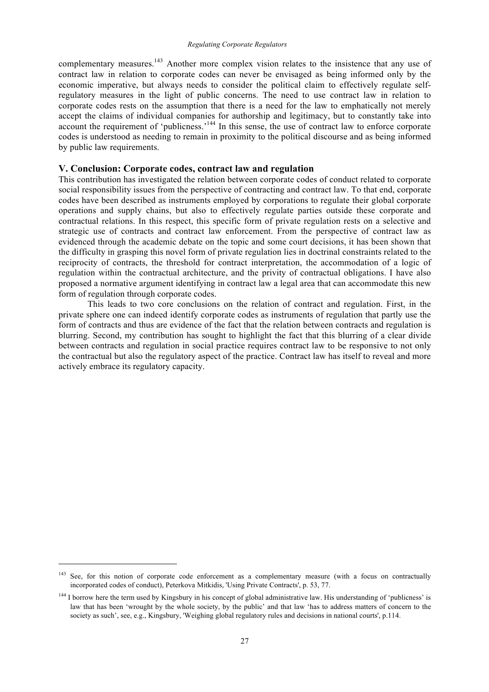complementary measures.<sup>143</sup> Another more complex vision relates to the insistence that any use of contract law in relation to corporate codes can never be envisaged as being informed only by the economic imperative, but always needs to consider the political claim to effectively regulate selfregulatory measures in the light of public concerns. The need to use contract law in relation to corporate codes rests on the assumption that there is a need for the law to emphatically not merely accept the claims of individual companies for authorship and legitimacy, but to constantly take into account the requirement of 'publicness.<sup>144</sup> In this sense, the use of contract law to enforce corporate codes is understood as needing to remain in proximity to the political discourse and as being informed by public law requirements.

# **V. Conclusion: Corporate codes, contract law and regulation**

This contribution has investigated the relation between corporate codes of conduct related to corporate social responsibility issues from the perspective of contracting and contract law. To that end, corporate codes have been described as instruments employed by corporations to regulate their global corporate operations and supply chains, but also to effectively regulate parties outside these corporate and contractual relations. In this respect, this specific form of private regulation rests on a selective and strategic use of contracts and contract law enforcement. From the perspective of contract law as evidenced through the academic debate on the topic and some court decisions, it has been shown that the difficulty in grasping this novel form of private regulation lies in doctrinal constraints related to the reciprocity of contracts, the threshold for contract interpretation, the accommodation of a logic of regulation within the contractual architecture, and the privity of contractual obligations. I have also proposed a normative argument identifying in contract law a legal area that can accommodate this new form of regulation through corporate codes.

This leads to two core conclusions on the relation of contract and regulation. First, in the private sphere one can indeed identify corporate codes as instruments of regulation that partly use the form of contracts and thus are evidence of the fact that the relation between contracts and regulation is blurring. Second, my contribution has sought to highlight the fact that this blurring of a clear divide between contracts and regulation in social practice requires contract law to be responsive to not only the contractual but also the regulatory aspect of the practice. Contract law has itself to reveal and more actively embrace its regulatory capacity.

<sup>&</sup>lt;sup>143</sup> See, for this notion of corporate code enforcement as a complementary measure (with a focus on contractually incorporated codes of conduct), Peterkova Mitkidis, 'Using Private Contracts', p. 53, 77.

<sup>&</sup>lt;sup>144</sup> I borrow here the term used by Kingsbury in his concept of global administrative law. His understanding of 'publicness' is law that has been 'wrought by the whole society, by the public' and that law 'has to address matters of concern to the society as such', see, e.g., Kingsbury, 'Weighing global regulatory rules and decisions in national courts', p.114.